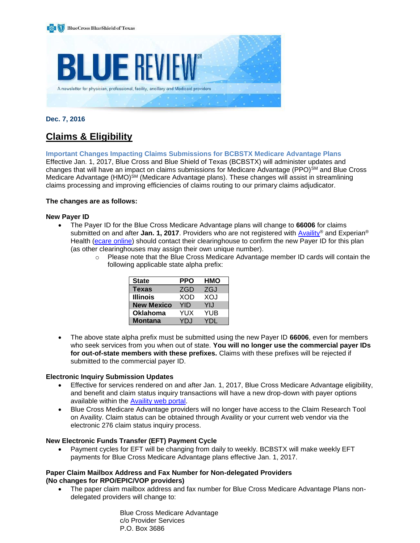

### **Dec. 7, 2016**

# **Claims & Eligibility**

#### **Important Changes Impacting Claims Submissions for BCBSTX Medicare Advantage Plans**

Effective Jan. 1, 2017, Blue Cross and Blue Shield of Texas (BCBSTX) will administer updates and changes that will have an impact on claims submissions for Medicare Advantage (PPO)<sup>SM</sup> and Blue Cross Medicare Advantage (HMO)<sup>SM</sup> (Medicare Advantage plans). These changes will assist in streamlining claims processing and improving efficiencies of claims routing to our primary claims adjudicator.

#### **The changes are as follows:**

#### **New Payer ID**

- The Payer ID for the Blue Cross Medicare Advantage plans will change to **66006** for claims submitted on and after **Jan. 1, 2017**. Providers who are not registered with [Availity](https://www.availity.com/)® and Experian<sup>®</sup> Health [\(ecare online\)](http://www.ecare.com/) should contact their clearinghouse to confirm the new Payer ID for this plan (as other clearinghouses may assign their own unique number).
	- $\circ$  Please note that the Blue Cross Medicare Advantage member ID cards will contain the following applicable state alpha prefix:

| <b>State</b>      | PPO        | HMO        |
|-------------------|------------|------------|
| <b>Texas</b>      | <b>ZGD</b> | <b>ZGJ</b> |
| <b>Illinois</b>   | XOD        | XQJ        |
| <b>New Mexico</b> | YID        | YIJ        |
| <b>Oklahoma</b>   | YUX        | YUB        |
| <b>Montana</b>    | YD.I       | YNL        |

 The above state alpha prefix must be submitted using the new Payer ID **66006**, even for members who seek services from you when out of state. **You will no longer use the commercial payer IDs for out-of-state members with these prefixes.** Claims with these prefixes will be rejected if submitted to the commercial payer ID.

#### **Electronic Inquiry Submission Updates**

- Effective for services rendered on and after Jan. 1, 2017, Blue Cross Medicare Advantage eligibility, and benefit and claim status inquiry transactions will have a new drop-down with payer options available within the [Availity web portal.](https://www.availity.com/)
- Blue Cross Medicare Advantage providers will no longer have access to the Claim Research Tool on Availity. Claim status can be obtained through Availity or your current web vendor via the electronic 276 claim status inquiry process.

#### **New Electronic Funds Transfer (EFT) Payment Cycle**

 Payment cycles for EFT will be changing from daily to weekly. BCBSTX will make weekly EFT payments for Blue Cross Medicare Advantage plans effective Jan. 1, 2017.

#### **Paper Claim Mailbox Address and Fax Number for Non-delegated Providers (No changes for RPO/EPIC/VOP providers)**

 The paper claim mailbox address and fax number for Blue Cross Medicare Advantage Plans nondelegated providers will change to:

> Blue Cross Medicare Advantage c/o Provider Services P.O. Box 3686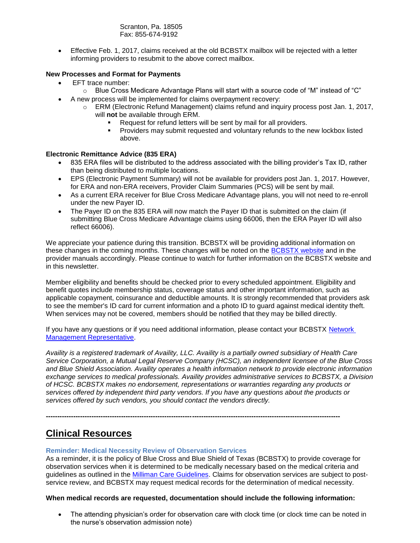Scranton, Pa. 18505 Fax: 855-674-9192

 Effective Feb. 1, 2017, claims received at the old BCBSTX mailbox will be rejected with a letter informing providers to resubmit to the above correct mailbox.

### **New Processes and Format for Payments**

- EFT trace number:
	- $\circ$  Blue Cross Medicare Advantage Plans will start with a source code of "M" instead of "C"
- A new process will be implemented for claims overpayment recovery:
	- $\circ$  ERM (Electronic Refund Management) claims refund and inquiry process post Jan. 1, 2017, will **not** be available through ERM.
		- Request for refund letters will be sent by mail for all providers.
		- Providers may submit requested and voluntary refunds to the new lockbox listed above.

#### **Electronic Remittance Advice (835 ERA)**

- 835 ERA files will be distributed to the address associated with the billing provider's Tax ID, rather than being distributed to multiple locations.
- EPS (Electronic Payment Summary) will not be available for providers post Jan. 1, 2017. However, for ERA and non-ERA receivers, Provider Claim Summaries (PCS) will be sent by mail.
- As a current ERA receiver for Blue Cross Medicare Advantage plans, you will not need to re-enroll under the new Payer ID.
- The Payer ID on the 835 ERA will now match the Payer ID that is submitted on the claim (if submitting Blue Cross Medicare Advantage claims using 66006, then the ERA Payer ID will also reflect 66006).

We appreciate your patience during this transition. BCBSTX will be providing additional information on these changes in the coming months. These changes will be noted on the [BCBSTX website](http://www.bcbstx.com/provider/) and in the provider manuals accordingly. Please continue to watch for further information on the BCBSTX website and in this newsletter.

Member eligibility and benefits should be checked prior to every scheduled appointment. Eligibility and benefit quotes include membership status, coverage status and other important information, such as applicable copayment, coinsurance and deductible amounts. It is strongly recommended that providers ask to see the member's ID card for current information and a photo ID to guard against medical identity theft. When services may not be covered, members should be notified that they may be billed directly.

If you have any questions or if you need additional information, please contact your BCBSTX [Network](http://www.bcbstx.com/provider/contact_us.html)  [Management Representative.](http://www.bcbstx.com/provider/contact_us.html)

*Availity is a registered trademark of Availity, LLC. Availity is a partially owned subsidiary of Health Care Service Corporation, a Mutual Legal Reserve Company (HCSC), an independent licensee of the Blue Cross and Blue Shield Association. Availity operates a health information network to provide electronic information exchange services to medical professionals. Availity provides administrative services to BCBSTX, a Division of HCSC. BCBSTX makes no endorsement, representations or warranties regarding any products or services offered by independent third party vendors. If you have any questions about the products or services offered by such vendors, you should contact the vendors directly.*

**---------------------------------------------------------------------------------------------------------------------------------**

# **Clinical Resources**

#### **Reminder: Medical Necessity Review of Observation Services**

As a reminder, it is the policy of Blue Cross and Blue Shield of Texas (BCBSTX) to provide coverage for observation services when it is determined to be medically necessary based on the medical criteria and guidelines as outlined in the [Milliman Care Guidelines](https://www.mcg.com/). Claims for observation services are subject to postservice review, and BCBSTX may request medical records for the determination of medical necessity.

#### **When medical records are requested, documentation should include the following information:**

• The attending physician's order for observation care with clock time (or clock time can be noted in the nurse's observation admission note)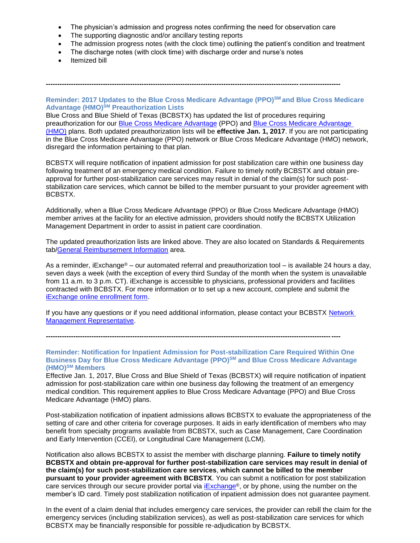The physician's admission and progress notes confirming the need for observation care

**---------------------------------------------------------------------------------------------------------------------------------**

- The supporting diagnostic and/or ancillary testing reports
- The admission progress notes (with the clock time) outlining the patient's condition and treatment
- The discharge notes (with clock time) with discharge order and nurse's notes
- Itemized bill

**Reminder: 2017 Updates to the Blue Cross Medicare Advantage (PPO)SM and Blue Cross Medicare Advantage (HMO)SM Preauthorization Lists**

Blue Cross and Blue Shield of Texas (BCBSTX) has updated the list of procedures requiring preauthorization for our [Blue Cross Medicare Advantage](http://www.bcbstx.com/provider/pdf/bma-preauth-2017.pdf) (PPO) and [Blue Cross Medicare Advantage](http://www.bcbstx.com/provider/pdf/bcma-preauth-2017.pdf)  [\(HMO\)](http://www.bcbstx.com/provider/pdf/bcma-preauth-2017.pdf) plans. Both updated preauthorization lists will be **effective Jan. 1, 2017**. If you are not participating in the Blue Cross Medicare Advantage (PPO) network or Blue Cross Medicare Advantage (HMO) network, disregard the information pertaining to that plan.

BCBSTX will require notification of inpatient admission for post stabilization care within one business day following treatment of an emergency medical condition. Failure to timely notify BCBSTX and obtain preapproval for further post-stabilization care services may result in denial of the claim(s) for such poststabilization care services, which cannot be billed to the member pursuant to your provider agreement with BCBSTX.

Additionally, when a Blue Cross Medicare Advantage (PPO) or Blue Cross Medicare Advantage (HMO) member arrives at the facility for an elective admission, providers should notify the BCBSTX Utilization Management Department in order to assist in patient care coordination.

The updated preauthorization lists are linked above. They are also located on Standards & Requirements tab[/General Reimbursement Information](http://www.bcbstx.com/provider/gri/index.html) area.

As a reminder, iExchange® – our automated referral and preauthorization tool – is available 24 hours a day, seven days a week (with the exception of every third Sunday of the month when the system is unavailable from 11 a.m. to 3 p.m. CT). iExchange is accessible to physicians, professional providers and facilities contracted with BCBSTX. For more information or to set up a new account, complete and submit the [iExchange online enrollment form.](https://www.bcbstx.com/forms/provider/iexchange_questionnaire.html)

If you have any questions or if you need additional information, please contact your BCBSTX [Network](http://www.bcbstx.com/provider/contact_us.html)  [Management Representative.](http://www.bcbstx.com/provider/contact_us.html)

**---------------------------------------------------------------------------------------------------------------------------------**

**Reminder: Notification for Inpatient Admission for Post-stabilization Care Required Within One Business Day for Blue Cross Medicare Advantage (PPO)SM and Blue Cross Medicare Advantage (HMO)SM Members**

Effective Jan. 1, 2017, Blue Cross and Blue Shield of Texas (BCBSTX) will require notification of inpatient admission for post-stabilization care within one business day following the treatment of an emergency medical condition. This requirement applies to Blue Cross Medicare Advantage (PPO) and Blue Cross Medicare Advantage (HMO) plans.

Post-stabilization notification of inpatient admissions allows BCBSTX to evaluate the appropriateness of the setting of care and other criteria for coverage purposes. It aids in early identification of members who may benefit from specialty programs available from BCBSTX, such as Case Management, Care Coordination and Early Intervention (CCEI), or Longitudinal Care Management (LCM).

Notification also allows BCBSTX to assist the member with discharge planning. **Failure to timely notify BCBSTX and obtain pre-approval for further post-stabilization care services may result in denial of the claim(s) for such post-stabilization care services**, **which cannot be billed to the member pursuant to your provider agreement with BCBSTX**. You can submit a notification for post stabilization care services through our secure provider portal via *[iExchange](https://www.bcbstx.com/provider/tools/iexchange_index.html)®*, or by phone, using the number on the member's ID card. Timely post stabilization notification of inpatient admission does not guarantee payment.

In the event of a claim denial that includes emergency care services, the provider can rebill the claim for the emergency services (including stabilization services), as well as post-stabilization care services for which BCBSTX may be financially responsible for possible re-adjudication by BCBSTX.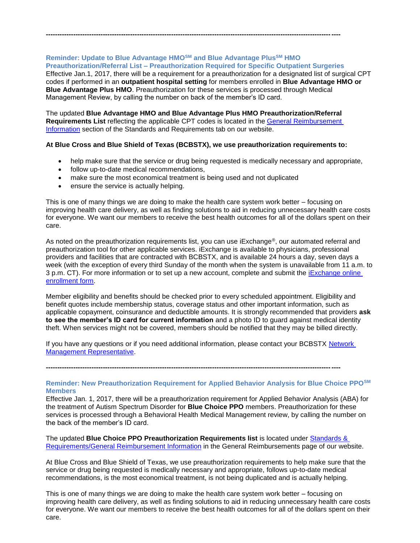## **Reminder: Update to Blue Advantage HMOSM and Blue Advantage PlusSM HMO**

**Preauthorization/Referral List – Preauthorization Required for Specific Outpatient Surgeries** Effective Jan.1, 2017, there will be a requirement for a preauthorization for a designated list of surgical CPT codes if performed in an **outpatient hospital setting** for members enrolled in **Blue Advantage HMO or Blue Advantage Plus HMO**. Preauthorization for these services is processed through Medical Management Review, by calling the number on back of the member's ID card.

The updated **Blue Advantage HMO and Blue Advantage Plus HMO Preauthorization/Referral Requirements List** reflecting the applicable CPT codes is located in the [General Reimbursement](http://www.bcbstx.com/provider/gri)  [Information](http://www.bcbstx.com/provider/gri) section of the Standards and Requirements tab on our website.

**---------------------------------------------------------------------------------------------------------------------------------**

#### **At Blue Cross and Blue Shield of Texas (BCBSTX), we use preauthorization requirements to:**

- help make sure that the service or drug being requested is medically necessary and appropriate,
- follow up-to-date medical recommendations,
- make sure the most economical treatment is being used and not duplicated
- ensure the service is actually helping.

This is one of many things we are doing to make the health care system work better – focusing on improving health care delivery, as well as finding solutions to aid in reducing unnecessary health care costs for everyone. We want our members to receive the best health outcomes for all of the dollars spent on their care.

As noted on the preauthorization requirements list, you can use iExchange®, our automated referral and preauthorization tool for other applicable services. iExchange is available to physicians, professional providers and facilities that are contracted with BCBSTX, and is available 24 hours a day, seven days a week (with the exception of every third Sunday of the month when the system is unavailable from 11 a.m. to [3 p.m. CT\). For more information or to set up a new account, complete and submit the iExchange online](https://www.bcbstx.com/forms/provider/iexchange_questionnaire.html) enrollment form.

Member eligibility and benefits should be checked prior to every scheduled appointment. Eligibility and benefit quotes include membership status, coverage status and other important information, such as applicable copayment, coinsurance and deductible amounts. It is strongly recommended that providers **ask to see the member's ID card for current information** and a photo ID to guard against medical identity theft. When services might not be covered, members should be notified that they may be billed directly.

If you have any questions or if you need additional information, please contact your BCBSTX [Network](http://www.bcbstx.com/provider/contact_us.html)  [Management Representative.](http://www.bcbstx.com/provider/contact_us.html)

**---------------------------------------------------------------------------------------------------------------------------------**

#### **Reminder: New Preauthorization Requirement for Applied Behavior Analysis for Blue Choice PPOSM Members**

Effective Jan. 1, 2017, there will be a preauthorization requirement for Applied Behavior Analysis (ABA) for the treatment of Autism Spectrum Disorder for **Blue Choice PPO** members. Preauthorization for these services is processed through a Behavioral Health Medical Management review, by calling the number on the back of the member's ID card.

The updated **Blue Choice PPO Preauthorization Requirements list** is located under [Standards &](http://www.bcbstx.com/provider/gri/)  [Requirements/General Reimbursement](http://www.bcbstx.com/provider/gri/) Information in the General Reimbursements page of our website.

At Blue Cross and Blue Shield of Texas, we use preauthorization requirements to help make sure that the service or drug being requested is medically necessary and appropriate, follows up-to-date medical recommendations, is the most economical treatment, is not being duplicated and is actually helping.

This is one of many things we are doing to make the health care system work better – focusing on improving health care delivery, as well as finding solutions to aid in reducing unnecessary health care costs for everyone. We want our members to receive the best health outcomes for all of the dollars spent on their care.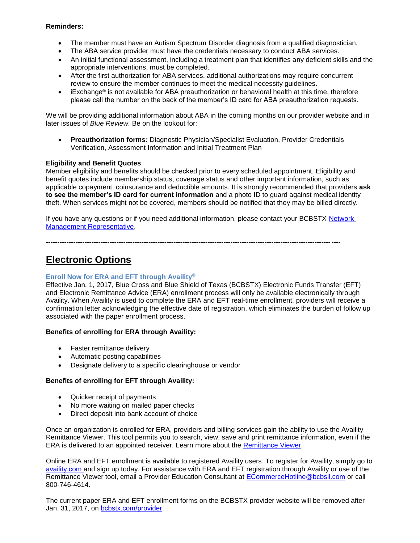### **Reminders:**

- The member must have an Autism Spectrum Disorder diagnosis from a qualified diagnostician.
- The ABA service provider must have the credentials necessary to conduct ABA services.
- An initial functional assessment, including a treatment plan that identifies any deficient skills and the appropriate interventions, must be completed.
- After the first authorization for ABA services, additional authorizations may require concurrent review to ensure the member continues to meet the medical necessity guidelines.
- iExchange® is not available for ABA preauthorization or behavioral health at this time, therefore please call the number on the back of the member's ID card for ABA preauthorization requests.

We will be providing additional information about ABA in the coming months on our provider website and in later issues of *Blue Review.* Be on the lookout for:

 **Preauthorization forms:** Diagnostic Physician/Specialist Evaluation, Provider Credentials Verification, Assessment Information and Initial Treatment Plan

#### **Eligibility and Benefit Quotes**

Member eligibility and benefits should be checked prior to every scheduled appointment. Eligibility and benefit quotes include membership status, coverage status and other important information, such as applicable copayment, coinsurance and deductible amounts. It is strongly recommended that providers **ask to see the member's ID card for current information** and a photo ID to guard against medical identity theft. When services might not be covered, members should be notified that they may be billed directly.

If you have any questions or if you need additional information, please contact your BCBSTX [Network](http://www.bcbstx.com/provider/contact_us.html)  [Management Representative.](http://www.bcbstx.com/provider/contact_us.html)

**---------------------------------------------------------------------------------------------------------------------------------**

# **Electronic Options**

### **Enroll Now for ERA and EFT through Availity®**

Effective Jan. 1, 2017, Blue Cross and Blue Shield of Texas (BCBSTX) Electronic Funds Transfer (EFT) and Electronic Remittance Advice (ERA) enrollment process will only be available electronically through Availity. When Availity is used to complete the ERA and EFT real-time enrollment, providers will receive a confirmation letter acknowledging the effective date of registration, which eliminates the burden of follow up associated with the paper enrollment process.

#### **Benefits of enrolling for ERA through Availity:**

- Faster remittance delivery
- Automatic posting capabilities
- Designate delivery to a specific clearinghouse or vendor

### **Benefits of enrolling for EFT through Availity:**

- Quicker receipt of payments
- No more waiting on mailed paper checks
- Direct deposit into bank account of choice

Once an organization is enrolled for ERA, providers and billing services gain the ability to use the Availity Remittance Viewer. This tool permits you to search, view, save and print remittance information, even if the ERA is delivered to an appointed receiver. Learn more about the [Remittance Viewer.](http://www.bcbstx.com/provider/tools/remittance_viewer_webinars.html)

Online ERA and EFT enrollment is available to registered Availity users. To register for Availity, simply go to [availity.com](https://www.availity.com/) and sign up today. For assistance with ERA and EFT registration through Availity or use of the Remittance Viewer tool, email a Provider Education Consultant at [ECommerceHotline@bcbsil.com](mailto:ECommerceHotline@bcbsil.com) or call 800-746-4614.

The current paper ERA and EFT enrollment forms on the BCBSTX provider website will be removed after Jan. 31, 2017, on [bcbstx.com/provider.](http://www.bcbstx.com/provider/)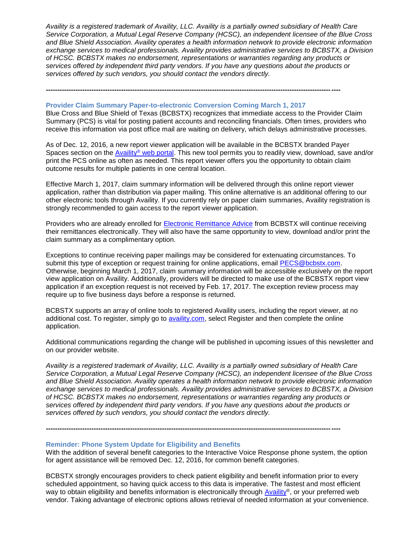*Availity is a registered trademark of Availity, LLC. Availity is a partially owned subsidiary of Health Care Service Corporation, a Mutual Legal Reserve Company (HCSC), an independent licensee of the Blue Cross and Blue Shield Association. Availity operates a health information network to provide electronic information exchange services to medical professionals. Availity provides administrative services to BCBSTX, a Division of HCSC. BCBSTX makes no endorsement, representations or warranties regarding any products or services offered by independent third party vendors. If you have any questions about the products or services offered by such vendors, you should contact the vendors directly.*

#### **Provider Claim Summary Paper-to-electronic Conversion Coming March 1, 2017**

**---------------------------------------------------------------------------------------------------------------------------------**

Blue Cross and Blue Shield of Texas (BCBSTX) recognizes that immediate access to the Provider Claim Summary (PCS) is vital for posting patient accounts and reconciling financials. Often times, providers who receive this information via post office mail are waiting on delivery, which delays administrative processes.

As of Dec. 12, 2016, a new report viewer application will be available in the BCBSTX branded Payer Spaces section on the Availity® [web portal.](https://www.availity.com/) This new tool permits you to readily view, download, save and/or print the PCS online as often as needed. This report viewer offers you the opportunity to obtain claim outcome results for multiple patients in one central location.

Effective March 1, 2017, claim summary information will be delivered through this online report viewer application, rather than distribution via paper mailing. This online alternative is an additional offering to our other electronic tools through Availity. If you currently rely on paper claim summaries, Availity registration is strongly recommended to gain access to the report viewer application.

Providers who are already enrolled for [Electronic Remittance Advice](http://www.bcbstx.com/provider/claims/era.html) from BCBSTX will continue receiving their remittances electronically. They will also have the same opportunity to view, download and/or print the claim summary as a complimentary option.

Exceptions to continue receiving paper mailings may be considered for extenuating circumstances. To submit this type of exception or request training for online applications, email [PECS@bcbstx.com.](mailto:PECS@bcbstx.com) Otherwise, beginning March 1, 2017, claim summary information will be accessible exclusively on the report view application on Availity. Additionally, providers will be directed to make use of the BCBSTX report view application if an exception request is not received by Feb. 17, 2017. The exception review process may require up to five business days before a response is returned.

BCBSTX supports an array of online tools to registered Availity users, including the report viewer, at no additional cost. To register, simply go to [availity.com,](http://www.availity.com/) select Register and then complete the online application.

Additional communications regarding the change will be published in upcoming issues of this newsletter and on our provider website.

*Availity is a registered trademark of Availity, LLC. Availity is a partially owned subsidiary of Health Care Service Corporation, a Mutual Legal Reserve Company (HCSC), an independent licensee of the Blue Cross and Blue Shield Association. Availity operates a health information network to provide electronic information exchange services to medical professionals. Availity provides administrative services to BCBSTX, a Division of HCSC. BCBSTX makes no endorsement, representations or warranties regarding any products or services offered by independent third party vendors. If you have any questions about the products or services offered by such vendors, you should contact the vendors directly.*

**---------------------------------------------------------------------------------------------------------------------------------**

#### **Reminder: Phone System Update for Eligibility and Benefits**

With the addition of several benefit categories to the Interactive Voice Response phone system, the option for agent assistance will be removed Dec. 12, 2016, for common benefit categories.

BCBSTX strongly encourages providers to check patient eligibility and benefit information prior to every scheduled appointment, so having quick access to this data is imperative. The fastest and most efficient way to obtain eligibility and benefits information is electronically through [Availity](https://www.availity.com/)®, or your preferred web vendor. Taking advantage of electronic options allows retrieval of needed information at your convenience.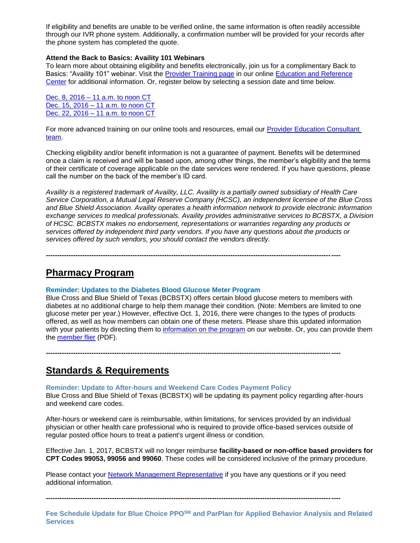If eligibility and benefits are unable to be verified online, the same information is often readily accessible through our IVR phone system. Additionally, a confirmation number will be provided for your records after the phone system has completed the quote.

#### **Attend the Back to Basics: Availity 101 Webinars**

To learn more about obtaining eligibility and benefits electronically, join us for a complimentary Back to Basics: "Availity 101" webinar. Visit the [Provider Training page](http://www.bcbstx.com/provider/training/index.html) in our online [Education and Reference](http://www.bcbstx.com/provider/education_reference.html)  [Center](http://www.bcbstx.com/provider/education_reference.html) for additional information. Or, register below by selecting a session date and time below.

Dec. 8, 2016 – [11 a.m. to noon](https://hcsc.webex.com/hcsc/j.php?RGID=rcc17d55c3f0d3bb20284ff41cd1b0bfa) CT Dec. 15, 2016 – [11 a.m. to noon CT](https://hcsc.webex.com/hcsc/j.php?RGID=r471f2f95c719d577e1fe9c86f10dcd97) Dec. 22, 2016 – [11 a.m. to noon CT](https://hcsc.webex.com/hcsc/j.php?RGID=rab164fd1cca228aed1a06956d639744e)

For more advanced training on our online tools and resources, email our [Provider Education Consultant](mailto:PECS@bcbstx.com)  [team.](mailto:PECS@bcbstx.com)

Checking eligibility and/or benefit information is not a guarantee of payment. Benefits will be determined once a claim is received and will be based upon, among other things, the member's eligibility and the terms of their certificate of coverage applicable on the date services were rendered. If you have questions, please call the number on the back of the member's ID card.

*Availity is a registered trademark of Availity, LLC. Availity is a partially owned subsidiary of Health Care Service Corporation, a Mutual Legal Reserve Company (HCSC), an independent licensee of the Blue Cross and Blue Shield Association. Availity operates a health information network to provide electronic information exchange services to medical professionals. Availity provides administrative services to BCBSTX, a Division of HCSC. BCBSTX makes no endorsement, representations or warranties regarding any products or services offered by independent third party vendors. If you have any questions about the products or services offered by such vendors, you should contact the vendors directly.*

**---------------------------------------------------------------------------------------------------------------------------------**

## **Pharmacy Program**

#### **Reminder: Updates to the Diabetes Blood Glucose Meter Program**

Blue Cross and Blue Shield of Texas (BCBSTX) offers certain blood glucose meters to members with diabetes at no additional charge to help them manage their condition. (Note: Members are limited to one glucose meter per year.) However, effective Oct. 1, 2016, there were changes to the types of products offered, as well as how members can obtain one of these meters. Please share this updated information with your patients by directing them to [information on the program](http://www.bcbstx.com/member/prescription-drug-plan-information/resources) on our website. Or, you can provide them the [member flier](http://www.bcbstx.com/pdf/rx/glucose-meter-offer-tx.pdf) (PDF).

**---------------------------------------------------------------------------------------------------------------------------------**

# **Standards & Requirements**

#### **Reminder: Update to After-hours and Weekend Care Codes Payment Policy**

Blue Cross and Blue Shield of Texas (BCBSTX) will be updating its payment policy regarding after-hours and weekend care codes.

After-hours or weekend care is reimbursable, within limitations, for services provided by an individual physician or other health care professional who is required to provide office-based services outside of regular posted office hours to treat a patient's urgent illness or condition.

Effective Jan. 1, 2017, BCBSTX will no longer reimburse **facility-based or non-office based providers for CPT Codes 99053, 99056 and 99060**. These codes will be considered inclusive of the primary procedure.

Please contact your [Network Management Representative](http://www.bcbstx.com/provider/contact_us.html) if you have any questions or if you need additional information.

**---------------------------------------------------------------------------------------------------------------------------------**

**Fee Schedule Update for Blue Choice PPOSM and ParPlan for Applied Behavior Analysis and Related Services**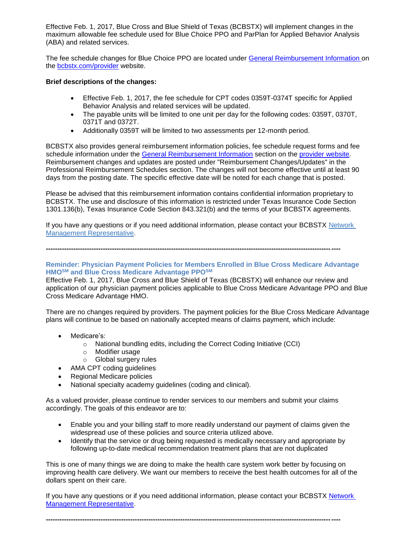Effective Feb. 1, 2017, Blue Cross and Blue Shield of Texas (BCBSTX) will implement changes in the maximum allowable fee schedule used for Blue Choice PPO and ParPlan for Applied Behavior Analysis (ABA) and related services.

The fee schedule changes for Blue Choice PPO are located under [General Reimbursement Information](http://www.bcbstx.com/provider/gri/index.html) on the [bcbstx.com/provider](http://www.bcbstx.com/provider/) website.

#### **Brief descriptions of the changes:**

- Effective Feb. 1, 2017, the fee schedule for CPT codes 0359T-0374T specific for Applied Behavior Analysis and related services will be updated.
- The payable units will be limited to one unit per day for the following codes: 0359T, 0370T, 0371T and 0372T.
- Additionally 0359T will be limited to two assessments per 12-month period.

BCBSTX also provides general reimbursement information policies, fee schedule request forms and fee schedule information under the [General Reimbursement Information](http://www.bcbstx.com/provider/gri/index.html) section on the [provider website.](http://www.bcbstx.com/provider/index.html) Reimbursement changes and updates are posted under "Reimbursement Changes/Updates" in the Professional Reimbursement Schedules section. The changes will not become effective until at least 90 days from the posting date. The specific effective date will be noted for each change that is posted.

Please be advised that this reimbursement information contains confidential information proprietary to BCBSTX. The use and disclosure of this information is restricted under Texas Insurance Code Section 1301.136(b), Texas Insurance Code Section 843.321(b) and the terms of your BCBSTX agreements.

If you have any questions or if you need additional information, please contact your BCBSTX [Network](http://www.bcbstx.com/provider/contact_us.html)  [Management Representative.](http://www.bcbstx.com/provider/contact_us.html)

**---------------------------------------------------------------------------------------------------------------------------------**

#### **Reminder: Physician Payment Policies for Members Enrolled in Blue Cross Medicare Advantage HMOSM and Blue Cross Medicare Advantage PPOSM**

Effective Feb. 1, 2017, Blue Cross and Blue Shield of Texas (BCBSTX) will enhance our review and application of our physician payment policies applicable to Blue Cross Medicare Advantage PPO and Blue Cross Medicare Advantage HMO.

There are no changes required by providers. The payment policies for the Blue Cross Medicare Advantage plans will continue to be based on nationally accepted means of claims payment, which include:

- Medicare's:
	- o National bundling edits, including the Correct Coding Initiative (CCI)
	- o Modifier usage
	- o Global surgery rules
- AMA CPT coding quidelines
- Regional Medicare policies
- National specialty academy guidelines (coding and clinical).

As a valued provider, please continue to render services to our members and submit your claims accordingly. The goals of this endeavor are to:

- Enable you and your billing staff to more readily understand our payment of claims given the widespread use of these policies and source criteria utilized above.
- Identify that the service or drug being requested is medically necessary and appropriate by following up-to-date medical recommendation treatment plans that are not duplicated

This is one of many things we are doing to make the health care system work better by focusing on improving health care delivery. We want our members to receive the best health outcomes for all of the dollars spent on their care.

If you have any questions or if you need additional information, please contact your BCBSTX [Network](http://www.bcbstx.com/provider/contact_us.html)  [Management Representative.](http://www.bcbstx.com/provider/contact_us.html)

**---------------------------------------------------------------------------------------------------------------------------------**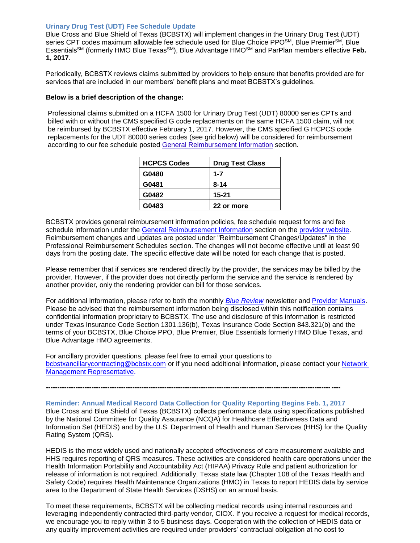#### **Urinary Drug Test (UDT) Fee Schedule Update**

Blue Cross and Blue Shield of Texas (BCBSTX) will implement changes in the Urinary Drug Test (UDT) series CPT codes maximum allowable fee schedule used for Blue Choice PPO<sup>SM</sup>, Blue Premier<sup>SM</sup>, Blue EssentialsSM (formerly HMO Blue TexasSM), Blue Advantage HMOSM and ParPlan members effective **Feb. 1, 2017**.

Periodically, BCBSTX reviews claims submitted by providers to help ensure that benefits provided are for services that are included in our members' benefit plans and meet BCBSTX's guidelines.

#### **Below is a brief description of the change:**

Professional claims submitted on a HCFA 1500 for Urinary Drug Test (UDT) 80000 series CPTs and billed with or without the CMS specified G code replacements on the same HCFA 1500 claim, will not be reimbursed by BCBSTX effective February 1, 2017. However, the CMS specified G HCPCS code replacements for the UDT 80000 series codes (see grid below) will be considered for reimbursement according to our fee schedule posted [General Reimbursement Information](http://www.bcbstx.com/provider/gri/index.html) section.

| <b>HCPCS Codes</b> | <b>Drug Test Class</b> |
|--------------------|------------------------|
| G0480              | $1 - 7$                |
| G0481              | $8 - 14$               |
| G0482              | $15 - 21$              |
| G0483              | 22 or more             |

BCBSTX provides general reimbursement information policies, fee schedule request forms and fee schedule information under the [General Reimbursement Information](http://www.bcbstx.com/provider/gri/index.html) section on the [provider website.](http://www.bcbstx.com/provider/index.html) Reimbursement changes and updates are posted under "Reimbursement Changes/Updates" in the Professional Reimbursement Schedules section. The changes will not become effective until at least 90 days from the posting date. The specific effective date will be noted for each change that is posted.

Please remember that if services are rendered directly by the provider, the services may be billed by the provider. However, if the provider does not directly perform the service and the service is rendered by another provider, only the rendering provider can bill for those services.

For additional information, please refer to both the monthly *[Blue Review](http://www.bcbstx.com/provider/news/bluereview.html)* newsletter and [Provider Manuals.](http://www.bcbstx.com/provider/gri/index.html) Please be advised that the reimbursement information being disclosed within this notification contains confidential information proprietary to BCBSTX. The use and disclosure of this information is restricted under Texas Insurance Code Section 1301.136(b), Texas Insurance Code Section 843.321(b) and the terms of your BCBSTX, Blue Choice PPO, Blue Premier, Blue Essentials formerly HMO Blue Texas, and Blue Advantage HMO agreements.

For ancillary provider questions, please feel free to email your questions to [bcbstxancillarycontracting@bcbstx.com](mailto:bcbstxancillarycontracting@bcbstx.com) or if you need additional information, please contact your [Network](http://www.bcbstx.com/provider/contact_us.html) [Management Representative.](http://www.bcbstx.com/provider/contact_us.html)

**Reminder: Annual Medical Record Data Collection for Quality Reporting Begins Feb. 1, 2017** Blue Cross and Blue Shield of Texas (BCBSTX) collects performance data using specifications published by the National Committee for Quality Assurance (NCQA) for Healthcare Effectiveness Data and Information Set (HEDIS) and by the U.S. Department of Health and Human Services (HHS) for the Quality Rating System (QRS).

**---------------------------------------------------------------------------------------------------------------------------------**

HEDIS is the most widely used and nationally accepted effectiveness of care measurement available and HHS requires reporting of QRS measures. These activities are considered health care operations under the Health Information Portability and Accountability Act (HIPAA) Privacy Rule and patient authorization for release of information is not required. Additionally, Texas state law (Chapter 108 of the Texas Health and Safety Code) requires Health Maintenance Organizations (HMO) in Texas to report HEDIS data by service area to the Department of State Health Services (DSHS) on an annual basis.

To meet these requirements, BCBSTX will be collecting medical records using internal resources and leveraging independently contracted third-party vendor, CIOX. If you receive a request for medical records, we encourage you to reply within 3 to 5 business days. Cooperation with the collection of HEDIS data or any quality improvement activities are required under providers' contractual obligation at no cost to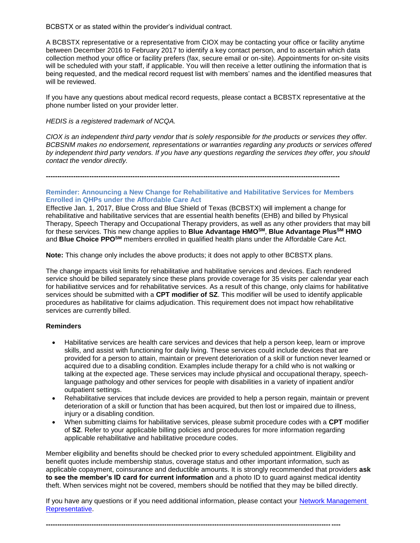BCBSTX or as stated within the provider's individual contract.

A BCBSTX representative or a representative from CIOX may be contacting your office or facility anytime between December 2016 to February 2017 to identify a key contact person, and to ascertain which data collection method your office or facility prefers (fax, secure email or on-site). Appointments for on-site visits will be scheduled with your staff, if applicable. You will then receive a letter outlining the information that is being requested, and the medical record request list with members' names and the identified measures that will be reviewed.

If you have any questions about medical record requests, please contact a BCBSTX representative at the phone number listed on your provider letter.

#### *HEDIS is a registered trademark of NCQA.*

*CIOX is an independent third party vendor that is solely responsible for the products or services they offer. BCBSNM makes no endorsement, representations or warranties regarding any products or services offered by independent third party vendors. If you have any questions regarding the services they offer, you should contact the vendor directly.*

**---------------------------------------------------------------------------------------------------------------------------------**

#### **Reminder: Announcing a New Change for Rehabilitative and Habilitative Services for Members Enrolled in QHPs under the Affordable Care Act**

Effective Jan. 1, 2017, Blue Cross and Blue Shield of Texas (BCBSTX) will implement a change for rehabilitative and habilitative services that are essential health benefits (EHB) and billed by Physical Therapy, Speech Therapy and Occupational Therapy providers, as well as any other providers that may bill for these services. This new change applies to **Blue Advantage HMOSM**, **Blue Advantage PlusSM HMO**  and **Blue Choice PPOSM** members enrolled in qualified health plans under the Affordable Care Act.

**Note:** This change only includes the above products; it does not apply to other BCBSTX plans.

The change impacts visit limits for rehabilitative and habilitative services and devices. Each rendered service should be billed separately since these plans provide coverage for 35 visits per calendar year each for habiliatitve services and for rehabilitative services. As a result of this change, only claims for habilitative services should be submitted with a **CPT modifier of SZ**. This modifier will be used to identify applicable procedures as habilitative for claims adjudication. This requirement does not impact how rehabilitative services are currently billed.

#### **Reminders**

- Habilitative services are health care services and devices that help a person keep, learn or improve skills, and assist with functioning for daily living. These services could include devices that are provided for a person to attain, maintain or prevent deterioration of a skill or function never learned or acquired due to a disabling condition. Examples include therapy for a child who is not walking or talking at the expected age. These services may include physical and occupational therapy, speechlanguage pathology and other services for people with disabilities in a variety of inpatient and/or outpatient settings.
- Rehabilitative services that include devices are provided to help a person regain, maintain or prevent deterioration of a skill or function that has been acquired, but then lost or impaired due to illness, injury or a disabling condition.
- When submitting claims for habilitative services, please submit procedure codes with a **CPT** modifier of **SZ**. Refer to your applicable billing policies and procedures for more information regarding applicable rehabilitative and habilitative procedure codes.

Member eligibility and benefits should be checked prior to every scheduled appointment. Eligibility and benefit quotes include membership status, coverage status and other important information, such as applicable copayment, coinsurance and deductible amounts. It is strongly recommended that providers **ask to see the member's ID card for current information** and a photo ID to guard against medical identity theft. When services might not be covered, members should be notified that they may be billed directly.

If you have any questions or if you need additional information, please contact your [Network Management](http://www.bcbstx.com/provider/contact_us.html)  [Representative.](http://www.bcbstx.com/provider/contact_us.html) 

**---------------------------------------------------------------------------------------------------------------------------------**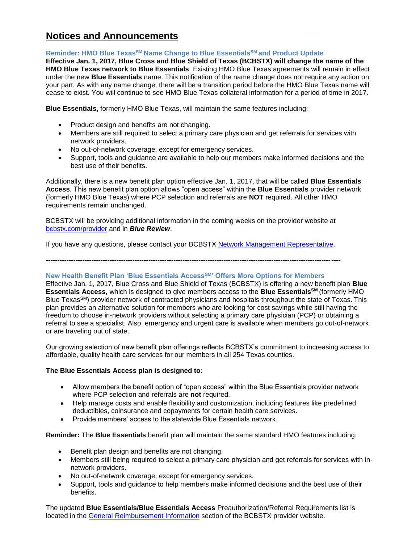# **Notices and Announcements**

### **Reminder: HMO Blue TexasSM Name Change to Blue EssentialsSM and Product Update**

**Effective Jan. 1, 2017, Blue Cross and Blue Shield of Texas (BCBSTX) will change the name of the HMO Blue Texas network to Blue Essentials**. Existing HMO Blue Texas agreements will remain in effect under the new **Blue Essentials** name. This notification of the name change does not require any action on your part. As with any name change, there will be a transition period before the HMO Blue Texas name will cease to exist. You will continue to see HMO Blue Texas collateral information for a period of time in 2017.

**Blue Essentials,** formerly HMO Blue Texas, will maintain the same features including:

- Product design and benefits are not changing.
- Members are still required to select a primary care physician and get referrals for services with network providers.
- No out-of-network coverage, except for emergency services.
- Support, tools and guidance are available to help our members make informed decisions and the best use of their benefits.

Additionally, there is a new benefit plan option effective Jan. 1, 2017, that will be called **Blue Essentials Access**. This new benefit plan option allows "open access" within the **Blue Essentials** provider network (formerly HMO Blue Texas) where PCP selection and referrals are **NOT** required. All other HMO requirements remain unchanged.

BCBSTX will be providing additional information in the coming weeks on the provider website at [bcbstx.com/provider](http://www.bcbstx.com/provider/) and in *Blue Review*.

If you have any questions, please contact your BCBSTX [Network Management Representative.](http://www.bcbstx.com/provider/contact_us.html)

**---------------------------------------------------------------------------------------------------------------------------------**

#### **New Health Benefit Plan 'Blue Essentials AccessSM' Offers More Options for Members**

Effective Jan, 1, 2017, Blue Cross and Blue Shield of Texas (BCBSTX) is offering a new benefit plan **Blue Essentials Access,** which is designed to give members access to the **Blue EssentialsSM** (formerly HMO Blue TexasSM) provider network of contracted physicians and hospitals throughout the state of Texas**.** This plan provides an alternative solution for members who are looking for cost savings while still having the freedom to choose in-network providers without selecting a primary care physician (PCP) or obtaining a referral to see a specialist. Also, emergency and urgent care is available when members go out-of-network or are traveling out of state.

Our growing selection of new benefit plan offerings reflects BCBSTX's commitment to increasing access to affordable, quality health care services for our members in all 254 Texas counties.

### **The Blue Essentials Access plan is designed to:**

- Allow members the benefit option of "open access" within the Blue Essentials provider network where PCP selection and referrals are **not** required.
- Help manage costs and enable flexibility and customization, including features like predefined deductibles, coinsurance and copayments for certain health care services.
- Provide members' access to the statewide Blue Essentials network.

**Reminder:** The **Blue Essentials** benefit plan will maintain the same standard HMO features including:

- Benefit plan design and benefits are not changing.
- Members still being required to select a primary care physician and get referrals for services with innetwork providers.
- No out-of-network coverage, except for emergency services.
- Support, tools and guidance to help members make informed decisions and the best use of their benefits.

The updated **Blue Essentials/Blue Essentials Access** Preauthorization/Referral Requirements list is located in the [General Reimbursement Information](http://www.bcbstx.com/provider/gri/index.html) section of the BCBSTX provider website.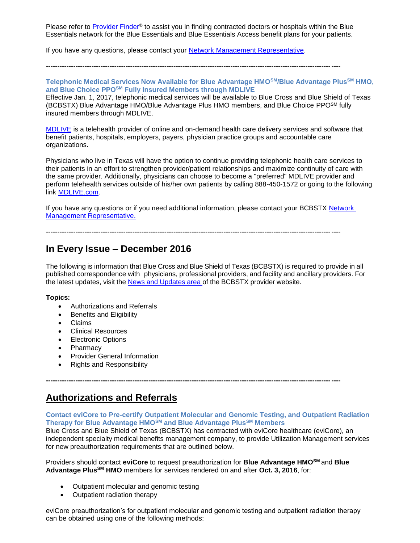Please refer to **[Provider Finder](https://www.bcbstx.com/find-a-doctor-or-hospital)®** to assist you in finding contracted doctors or hospitals within the Blue Essentials network for the Blue Essentials and Blue Essentials Access benefit plans for your patients.

If you have any questions, please contact your [Network Management Representative.](http://www.bcbstx.com/provider/contact_us.html#localnetwork)

**---------------------------------------------------------------------------------------------------------------------------------**

#### **Telephonic Medical Services Now Available for Blue Advantage HMOSM/Blue Advantage PlusSM HMO, and Blue Choice PPOSM Fully Insured Members through MDLIVE**

Effective Jan. 1, 2017, telephonic medical services will be available to Blue Cross and Blue Shield of Texas (BCBSTX) Blue Advantage HMO/Blue Advantage Plus HMO members, and Blue Choice PPOSM fully insured members through MDLIVE.

[MDLIVE](https://welcome.mdlive.com/) is a telehealth provider of online and on-demand health care delivery services and software that benefit patients, hospitals, employers, payers, physician practice groups and accountable care organizations.

Physicians who live in Texas will have the option to continue providing telephonic health care services to their patients in an effort to strengthen provider/patient relationships and maximize continuity of care with the same provider. Additionally, physicians can choose to become a "preferred" MDLIVE provider and perform telehealth services outside of his/her own patients by calling 888-450-1572 or going to the following link [MDLIVE.com.](https://welcome.mdlive.com/)

If you have any questions or if you need additional information, please contact your BCBSTX [Network](mailto:http://www.bcbstx.com/provider/contact_us.html)  [Management Representative.](mailto:http://www.bcbstx.com/provider/contact_us.html)

**---------------------------------------------------------------------------------------------------------------------------------**

# **In Every Issue – December 2016**

The following is information that Blue Cross and Blue Shield of Texas (BCBSTX) is required to provide in all published correspondence with physicians, professional providers, and facility and ancillary providers. For the latest updates, visit the News and [Updates](http://www.bcbstx.com/provider/news/index.html) area of the BCBSTX provider website.

#### **Topics:**

- Authorizations and Referrals
- Benefits and Eligibility
- Claims
- Clinical Resources
- Electronic Options
- Pharmacy
- Provider General Information
- Rights and Responsibility

# **Authorizations and Referrals**

#### **Contact eviCore to Pre-certify Outpatient Molecular and Genomic Testing, and Outpatient Radiation Therapy for Blue Advantage HMOSM and Blue Advantage PlusSM Members**

Blue Cross and Blue Shield of Texas (BCBSTX) has contracted with eviCore healthcare (eviCore), an independent specialty medical benefits management company, to provide Utilization Management services for new preauthorization requirements that are outlined below.

Providers should contact **eviCore** to request preauthorization for **Blue Advantage HMOSM** and **Blue Advantage PlusSM HMO** members for services rendered on and after **Oct. 3, 2016**, for:

**---------------------------------------------------------------------------------------------------------------------------------**

- Outpatient molecular and genomic testing
- Outpatient radiation therapy

eviCore preauthorization's for outpatient molecular and genomic testing and outpatient radiation therapy can be obtained using one of the following methods: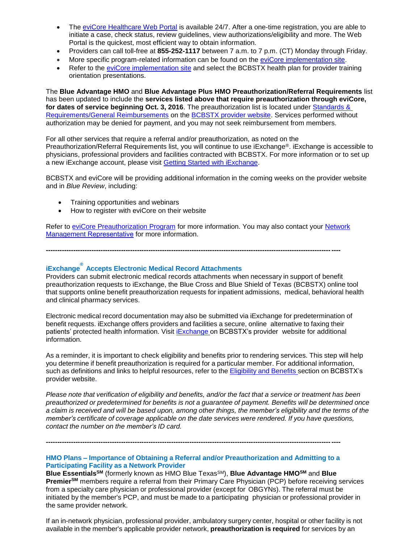- The [eviCore Healthcare Web Portal](http://www.evicore.com/) is available 24/7. After a one-time registration, you are able to initiate a case, check status, review guidelines, view authorizations/eligibility and more. The Web Portal is the quickest, most efficient way to obtain information.
- Providers can call toll-free at **855-252-1117** between 7 a.m. to 7 p.m. (CT) Monday through Friday.
- More specific program-related information can be found on the [eviCore implementation site.](https://www.carecorenational.com/page/bcbs-implementations.aspx)
- Refer to the [eviCore implementation site](https://www.carecorenational.com/page/bcbs-implementations.aspx) and select the BCBSTX health plan for provider training orientation presentations.

The **Blue Advantage HMO** and **Blue Advantage Plus HMO Preauthorization/Referral Requirements** list has been updated to include the **services listed above that require preauthorization through eviCore, for dates of service beginning Oct. 3, 2016**. The preauthorization list is located under [Standards &](http://www.bcbstx.com/provider/gri/index.html)  [Requirements/General Reimbursements](http://www.bcbstx.com/provider/gri/index.html) on the [BCBSTX provider website.](http://www.bcbstx.com/provider/) Services performed without authorization may be denied for payment, and you may not seek reimbursement from members.

For all other services that require a referral and/or preauthorization, as noted on the Preauthorization/Referral Requirements list, you will continue to use iExchange®. iExchange is accessible to physicians, professional providers and facilities contracted with BCBSTX. For more information or to set up a new iExchange account, please visit [Getting Started with iExchange](https://www.bcbstx.com/provider/tools/iexchange_index.html).

BCBSTX and eviCore will be providing additional information in the coming weeks on the provider website and in *Blue Review*, including:

- Training opportunities and webinars
- How to register with eviCore on their website

Refer to [eviCore Preauthorization Program](http://www.bcbstx.com/provider/clinical/evicore.html) for more information. You may also contact your Network **Management [Representative](http://www.bcbstx.com/provider/contact_us.html) for more information.** 

**---------------------------------------------------------------------------------------------------------------------------------**

# **iExchange ® Accepts Electronic Medical Record Attachments**

Providers can submit electronic medical records attachments when necessary in support of benefit preauthorization requests to iExchange, the Blue Cross and Blue Shield of Texas (BCBSTX) online tool that supports online benefit preauthorization requests for inpatient admissions, medical, behavioral health and clinical pharmacy services.

Electronic medical record documentation may also be submitted via iExchange for predetermination of benefit requests. iExchange offers providers and facilities a secure, online alternative to faxing their patients' protected health information. Visit [iExchange](http://www.bcbstx.com/provider/tools/iexchange_index.html) on BCBSTX's provider website for additional information.

As a reminder, it is important to check eligibility and benefits prior to rendering services. This step will help you determine if benefit preauthorization is required for a particular member. For additional information, such as definitions and links to helpful resources, refer to the [Eligibility](http://www.bcbstx.com/provider/claims/eligibility_and_benefits.html) and Benefits secti[on](http://www.bcbstx.com/provider) on BCBSTX's provider website.

Please note that verification of eligibility and benefits, and/or the fact that a service or treatment has been *preauthorized or predetermined for benefits is not a guarantee of payment. Benefits will be determined once* a claim is received and will be based upon, among other things, the member's eligibility and the terms of the *member's certificate of coverage applicable on the date services were rendered. If you have questions, contact the number on the member's ID card.*

**---------------------------------------------------------------------------------------------------------------------------------**

#### **HMO Plans – Importance of Obtaining a Referral and/or Preauthorization and Admitting to a Participating Facility as a Network Provider**

**Blue EssentialsSM** (formerly known as HMO Blue TexasSM), **Blue Advantage HMOSM** and **Blue PremierSM** members require a referral from their Primary Care Physician (PCP) before receiving services from a specialty care physician or professional provider (except for OBGYNs). The referral must be initiated by the member's PCP, and must be made to a participating physician or professional provider in the same provider network.

If an in-network physician, professional provider, ambulatory surgery center, hospital or other facility is not available in the member's applicable provider network, **preauthorization is required** for services by an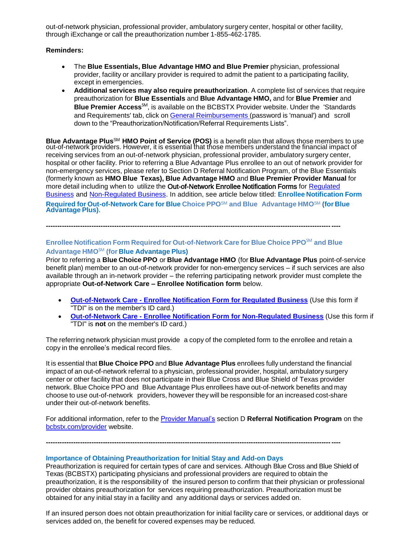out-of-network physician, professional provider, ambulatory surgery center, hospital or other facility, through iExchange or call the preauthorization number 1-855-462-1785.

#### **Reminders:**

- The **Blue Essentials, Blue Advantage HMO and Blue Premier** physician, professional provider, facility or ancillary provider is required to admit the patient to a participating facility, except in emergencies.
- **Additional services may also require preauthorization**. A complete list of services that require preauthorization for **Blue Essentials** and **Blue Advantage HMO,** and for **Blue Premier** and **Blue Premier Access**SM, is available on the BCBSTX Provider website. Under the 'Standards and Requirements' tab, click on General [Reimbursements](https://www.bcbstx.com/provider/gri/index.html) (password is 'manual') and scroll down to the "Preauthorization/Notification/Referral Requirements Lists".

**Blue Advantage Plus**SM **HMO Point of Service (POS)** is a benefit plan that allows those members to use out-of-network providers. However, it is essential that those members understand the financial impact of receiving services from an out-of-network physician, professional provider, ambulatory surgery center, hospital or other facility. Prior to referring a Blue Advantage Plus enrollee to an out of network provider for non-emergency services, please refer to Section D Referral Notification Program, of the Blue Essentials (formerly known as **HMO Blue Texas), Blue Advantage HMO** and **Blue Premier Provider Manual** for more detail including when to utilize the Out-of-Network Enrollee Notification Forms for Regulated [Business](http://www.bcbstx.com/provider/pdf/out-of-network-care-enrollee-notification-form.pdf) and [Non-Regulated Business.](http://www.bcbstx.com/provider/pdf/out-of-network-care-enrollee-notification-form-nr.pdf) In addition, see article below titled: **Enrollee Notification Form Required for Out-of-Network Care for Blue Choice PPO**SM **and Blue Advantage HMO**SM **(for Blue Advantage Plus)**.

## **---------------------------------------------------------------------------------------------------------------------------------**

### **Enrollee Notification Form Required for Out-of-Network Care for Blue Choice PPO**SM **and Blue Advantage HMO**SM **(for Blue Advantage Plus)**

Prior to referring a **Blue Choice PPO** or **Blue Advantage HMO** (for **Blue Advantage Plus** point-of-service benefit plan) member to an out-of-network provider for non-emergency services – if such services are also available through an in-network provider – the referring participating network provider must complete the appropriate **Out-of-Network Care – Enrollee Notification form** below.

- **Out-of-Network Care - [Enrollee Notification Form for Regulated Business](http://www.bcbstx.com/provider/pdf/out-of-network-care-enrollee-notification-form.pdf)** (Use this form if "TDI" is on the member's ID card.)
- **Out-of-Network Care - [Enrollee Notification Form for Non-Regulated Business](http://www.bcbstx.com/provider/pdf/out-of-network-care-enrollee-notification-form-nr.pdf)** (Use this form if "TDI" is **not** on the member's ID card.)

The referring network physician must provide a copy of the completed form to the enrollee and retain a copy in the enrollee's medical record files.

It is essential that **Blue Choice PPO** and **Blue Advantage Plus** enrollees fully understand the financial impact of an out-of-network referral to a physician, professional provider, hospital, ambulatory surgery center or other facility that does not participate in their Blue Cross and Blue Shield of Texas provider network. Blue Choice PPO and Blue Advantage Plus enrollees have out-of-network benefits and may choose to use out-of-network providers, however they will be responsible for an increased cost-share under their out-of-network benefits.

For additional information, refer to the [Provider Manual's](http://www.bcbstx.com/provider/gri/index.html) section D **Referral Notification Program** on the [bcbstx.com/provider](http://www.bcbstx.com/provider/index.html) website.

**---------------------------------------------------------------------------------------------------------------------------------**

**Importance of Obtaining Preauthorization for Initial Stay and Add-on Days**

Preauthorization is required for certain types of care and services. Although Blue Cross and Blue Shield of Texas (BCBSTX) participating physicians and professional providers are required to obtain the preauthorization, it is the responsibility of the insured person to confirm that their physician or professional provider obtains preauthorization for services requiring preauthorization. Preauthorization must be obtained for any initial stay in a facility and any additional days or services added on.

If an insured person does not obtain preauthorization for initial facility care or services, or additional days or services added on, the benefit for covered expenses may be reduced.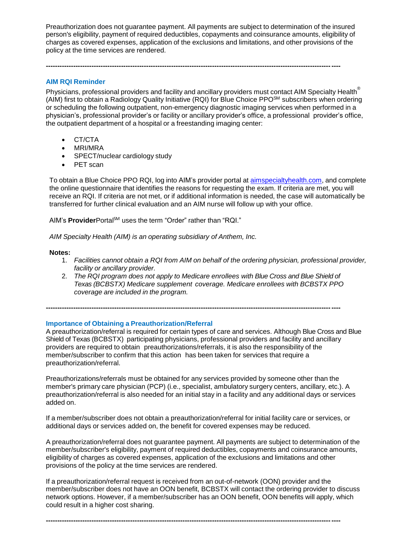Preauthorization does not guarantee payment. All payments are subject to determination of the insured person's eligibility, payment of required deductibles, copayments and coinsurance amounts, eligibility of charges as covered expenses, application of the exclusions and limitations, and other provisions of the policy at the time services are rendered.

**---------------------------------------------------------------------------------------------------------------------------------**

#### **AIM RQI Reminder**

Physicians, professional providers and facility and ancillary providers must contact AIM Specialty Health<sup>®</sup> (AIM) first to obtain a Radiology Quality Initiative (RQI) for Blue Choice PPOSM subscribers when ordering or scheduling the following outpatient, non-emergency diagnostic imaging services when performed in a physician's, professional provider's or facility or ancillary provider's office, a professional provider's office, the outpatient department of a hospital or a freestanding imaging center:

- CT/CTA
- MRI/MRA
- SPECT/nuclear cardiology study
- PET scan

To obtain a Blue Choice PPO RQI, log into AIM's provider portal at [aimspecialtyhealth.com](http://www.aimspecialtyhealth.com/), and complete the online questionnaire that identifies the reasons for requesting the exam. If criteria are met, you will receive an RQI. If criteria are not met, or if additional information is needed, the case will automatically be transferred for further clinical evaluation and an AIM nurse will follow up with your office.

AIM's **Provider**Portal<sup>SM</sup> uses the term "Order" rather than "RQI."

*AIM Specialty Health (AIM) is an operating subsidiary of Anthem, Inc.*

#### **Notes:**

- 1. *Facilities cannot obtain a RQI from AIM on behalf of the ordering physician, professional provider, facility or ancillary provider.*
- 2. *The RQI program does not apply to Medicare enrollees with Blue Cross and Blue Shield of Texas (BCBSTX) Medicare supplement coverage. Medicare enrollees with BCBSTX PPO coverage are included in the program.*

**---------------------------------------------------------------------------------------------------------------------------------**

**Importance of Obtaining a Preauthorization/Referral**

A preauthorization/referral is required for certain types of care and services. Although Blue Cross and Blue Shield of Texas (BCBSTX) participating physicians, professional providers and facility and ancillary providers are required to obtain preauthorizations/referrals, it is also the responsibility of the member/subscriber to confirm that this action has been taken for services that require a preauthorization/referral.

Preauthorizations/referrals must be obtained for any services provided by someone other than the member's primary care physician (PCP) (i.e., specialist, ambulatory surgery centers, ancillary, etc.). A preauthorization/referral is also needed for an initial stay in a facility and any additional days or services added on.

If a member/subscriber does not obtain a preauthorization/referral for initial facility care or services, or additional days or services added on, the benefit for covered expenses may be reduced.

A preauthorization/referral does not guarantee payment. All payments are subject to determination of the member/subscriber's eligibility, payment of required deductibles, copayments and coinsurance amounts, eligibility of charges as covered expenses, application of the exclusions and limitations and other provisions of the policy at the time services are rendered.

If a preauthorization/referral request is received from an out-of-network (OON) provider and the member/subscriber does not have an OON benefit, BCBSTX will contact the ordering provider to discuss network options. However, if a member/subscriber has an OON benefit, OON benefits will apply, which could result in a higher cost sharing.

**---------------------------------------------------------------------------------------------------------------------------------**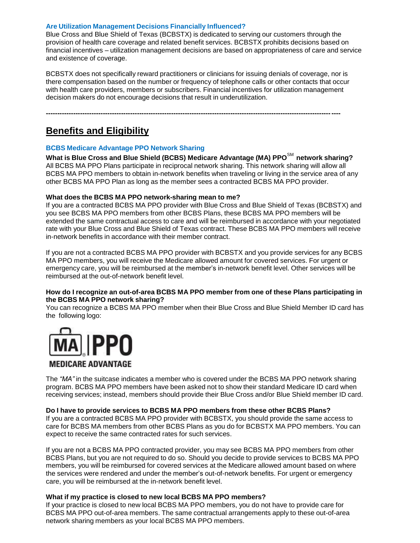#### **Are Utilization Management Decisions Financially Influenced?**

Blue Cross and Blue Shield of Texas (BCBSTX) is dedicated to serving our customers through the provision of health care coverage and related benefit services. BCBSTX prohibits decisions based on financial incentives – utilization management decisions are based on appropriateness of care and service and existence of coverage.

BCBSTX does not specifically reward practitioners or clinicians for issuing denials of coverage, nor is there compensation based on the number or frequency of telephone calls or other contacts that occur with health care providers, members or subscribers. Financial incentives for utilization management decision makers do not encourage decisions that result in underutilization.

**---------------------------------------------------------------------------------------------------------------------------------**

# **Benefits and Eligibility**

#### **BCBS Medicare Advantage PPO Network Sharing**

**What is Blue Cross and Blue Shield (BCBS) Medicare Advantage (MA) PPO**SM **network sharing?** All BCBS MA PPO Plans participate in reciprocal network sharing. This network sharing will allow all BCBS MA PPO members to obtain in-network benefits when traveling or living in the service area of any other BCBS MA PPO Plan as long as the member sees a contracted BCBS MA PPO provider.

#### **What does the BCBS MA PPO network-sharing mean to me?**

If you are a contracted BCBS MA PPO provider with Blue Cross and Blue Shield of Texas (BCBSTX) and you see BCBS MA PPO members from other BCBS Plans, these BCBS MA PPO members will be extended the same contractual access to care and will be reimbursed in accordance with your negotiated rate with your Blue Cross and Blue Shield of Texas contract. These BCBS MA PPO members will receive in-network benefits in accordance with their member contract.

If you are not a contracted BCBS MA PPO provider with BCBSTX and you provide services for any BCBS MA PPO members, you will receive the Medicare allowed amount for covered services. For urgent or emergency care, you will be reimbursed at the member's in-network benefit level. Other services will be reimbursed at the out-of-network benefit level.

#### **How do I recognize an out-of-area BCBS MA PPO member from one of these Plans participating in the BCBS MA PPO network sharing?**

You can recognize a BCBS MA PPO member when their Blue Cross and Blue Shield Member ID card has the following logo:



## **MEDICARE ADVANTAGE**

The *"MA"* in the suitcase indicates a member who is covered under the BCBS MA PPO network sharing program. BCBS MA PPO members have been asked not to show their standard Medicare ID card when receiving services; instead, members should provide their Blue Cross and/or Blue Shield member ID card.

#### **Do I have to provide services to BCBS MA PPO members from these other BCBS Plans?**

If you are a contracted BCBS MA PPO provider with BCBSTX, you should provide the same access to care for BCBS MA members from other BCBS Plans as you do for BCBSTX MA PPO members. You can expect to receive the same contracted rates for such services.

If you are not a BCBS MA PPO contracted provider, you may see BCBS MA PPO members from other BCBS Plans, but you are not required to do so. Should you decide to provide services to BCBS MA PPO members, you will be reimbursed for covered services at the Medicare allowed amount based on where the services were rendered and under the member's out-of-network benefits. For urgent or emergency care, you will be reimbursed at the in-network benefit level.

#### **What if my practice is closed to new local BCBS MA PPO members?**

If your practice is closed to new local BCBS MA PPO members, you do not have to provide care for BCBS MA PPO out-of-area members. The same contractual arrangements apply to these out-of-area network sharing members as your local BCBS MA PPO members.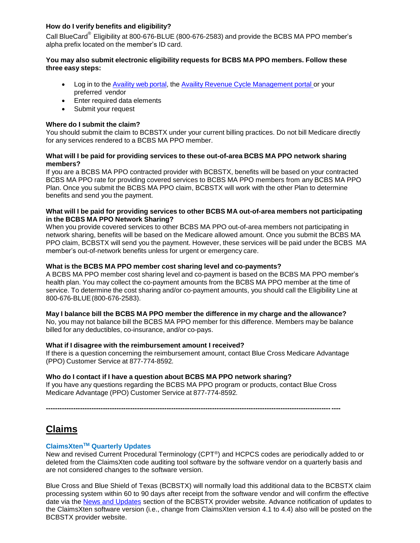## **How do I verify benefits and eligibility?**

Call BlueCard<sup>®</sup> Eligibility at 800-676-BLUE (800-676-2583) and provide the BCBS MA PPO member's alpha prefix located on the member's ID card.

#### **You may also submit electronic eligibility requests for BCBS MA PPO members. Follow these three easy steps:**

- Log in to the Availity [web portal,](https://www.availity.com/) the Availity Revenue Cycle [Management](https://claims.realmed.com/MainFrameset.htm) portal or your preferred vendor
- Enter required data elements
- Submit your request

#### **Where do I submit the claim?**

You should submit the claim to BCBSTX under your current billing practices. Do not bill Medicare directly for any services rendered to a BCBS MA PPO member.

#### **What will I be paid for providing services to these out-of-area BCBS MA PPO network sharing members?**

If you are a BCBS MA PPO contracted provider with BCBSTX, benefits will be based on your contracted BCBS MA PPO rate for providing covered services to BCBS MA PPO members from any BCBS MA PPO Plan. Once you submit the BCBS MA PPO claim, BCBSTX will work with the other Plan to determine benefits and send you the payment.

#### **What will I be paid for providing services to other BCBS MA out-of-area members not participating in the BCBS MA PPO Network Sharing?**

When you provide covered services to other BCBS MA PPO out-of-area members not participating in network sharing, benefits will be based on the Medicare allowed amount. Once you submit the BCBS MA PPO claim, BCBSTX will send you the payment. However, these services will be paid under the BCBS MA member's out-of-network benefits unless for urgent or emergency care.

#### **What is the BCBS MA PPO member cost sharing level and co-payments?**

A BCBS MA PPO member cost sharing level and co-payment is based on the BCBS MA PPO member's health plan. You may collect the co-payment amounts from the BCBS MA PPO member at the time of service. To determine the cost sharing and/or co-payment amounts, you should call the Eligibility Line at 800-676-BLUE(800-676-2583).

#### **May I balance bill the BCBS MA PPO member the difference in my charge and the allowance?**

No, you may not balance bill the BCBS MA PPO member for this difference. Members may be balance billed for any deductibles, co-insurance, and/or co-pays.

#### **What if I disagree with the reimbursement amount I received?**

If there is a question concerning the reimbursement amount, contact Blue Cross Medicare Advantage (PPO) Customer Service at 877-774-8592*.*

#### **Who do I contact if I have a question about BCBS MA PPO network sharing?**

If you have any questions regarding the BCBS MA PPO program or products, contact Blue Cross Medicare Advantage (PPO) Customer Service at 877-774-8592*.*

**---------------------------------------------------------------------------------------------------------------------------------**

# **Claims**

### **ClaimsXtenTM Quarterly Updates**

New and revised Current Procedural Terminology (CPT®) and HCPCS codes are periodically added to or deleted from the ClaimsXten code auditing tool software by the software vendor on a quarterly basis and are not considered changes to the software version.

Blue Cross and Blue Shield of Texas (BCBSTX) will normally load this additional data to the BCBSTX claim processing system within 60 to 90 days after receipt from the software vendor and will confirm the effective date via the [News and Updates](http://www.bcbstx.com/provider/news/index.html) section of the BCBSTX provider website. Advance notification of updates to the ClaimsXten software version (i.e., change from ClaimsXten version 4.1 to 4.4) also will be posted on the BCBSTX provider website.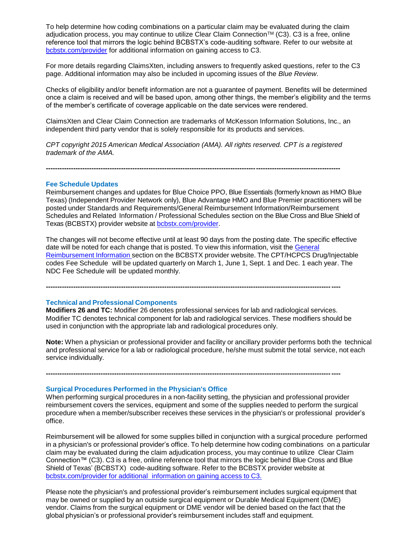To help determine how coding combinations on a particular claim may be evaluated during the claim adjudication process, you may continue to utilize Clear Claim Connection™ (C3). C3 is a free, online reference tool that mirrors the logic behind BCBSTX's code-auditing software. Refer to our website at [bcbstx.com/provider](http://www.bcbstx.com/provider/) for additional information on gaining access to C3.

For more details regarding ClaimsXten, including answers to frequently asked questions, refer to the C3 page. Additional information may also be included in upcoming issues of the *Blue Review*.

Checks of eligibility and/or benefit information are not a guarantee of payment. Benefits will be determined once a claim is received and will be based upon, among other things, the member's eligibility and the terms of the member's certificate of coverage applicable on the date services were rendered.

ClaimsXten and Clear Claim Connection are trademarks of McKesson Information Solutions, Inc., an independent third party vendor that is solely responsible for its products and services.

*CPT copyright 2015 American Medical Association (AMA). All rights reserved. CPT is a registered trademark of the AMA.*

**---------------------------------------------------------------------------------------------------------------------------------**

#### **Fee Schedule Updates**

Reimbursement changes and updates for Blue Choice PPO, Blue Essentials (formerly known as HMO Blue Texas) (Independent Provider Network only), Blue Advantage HMO and Blue Premier practitioners will be posted under Standards and Requirements/General Reimbursement Information/Reimbursement Schedules and Related Information / Professional Schedules section on the Blue Cross and Blue Shield of Texas (BCBSTX) provider website at **bcbstx.com/provider**.

The changes will not become effective until at least 90 days from the posting date. The specific effective date will be noted for each change that is posted. To view this information, visit the General Reimbursement Information section on the BCBSTX provider website. The [CPT/HCPCS Dr](https://www.bcbstx.com/provider/gri/index.html)ug/Injectable codes Fee Schedule will be updated quarterly on March 1, June 1, Sept. 1 and Dec. 1 each year. The NDC Fee Schedule will be updated monthly.

**---------------------------------------------------------------------------------------------------------------------------------**

#### **Technical and Professional Components**

**Modifiers 26 and TC:** Modifier 26 denotes professional services for lab and radiological services. Modifier TC denotes technical component for lab and radiological services. These modifiers should be used in conjunction with the appropriate lab and radiological procedures only.

**---------------------------------------------------------------------------------------------------------------------------------**

**Note:** When a physician or professional provider and facility or ancillary provider performs both the technical and professional service for a lab or radiological procedure, he/she must submit the total service, not each service individually.

## **Surgical Procedures Performed in the Physician's Office**

When performing surgical procedures in a non-facility setting, the physician and professional provider reimbursement covers the services, equipment and some of the supplies needed to perform the surgical procedure when a member/subscriber receives these services in the physician's or professional provider's office.

Reimbursement will be allowed for some supplies billed in conjunction with a surgical procedure performed in a physician's or professional provider's office. To help determine how coding combinations on a particular claim may be evaluated during the claim adjudication process, you may continue to utilize Clear Claim Connection™ (C3). C3 is a free, online reference tool that mirrors the logic behind Blue Cross and Blue Shield of Texas' (BCBSTX) code-auditing software. Refer to the BCBSTX provider website at [bcbstx.com/provider](https://www.bcbstx.com/provider/tools/clear_claim_connection.html) for additional information on gaining access to C3.

Please note the physician's and professional provider's reimbursement includes surgical equipment that may be owned or supplied by an outside surgical equipment or Durable Medical Equipment (DME) vendor. Claims from the surgical equipment or DME vendor will be denied based on the fact that the global physician's or professional provider's reimbursement includes staff and equipment.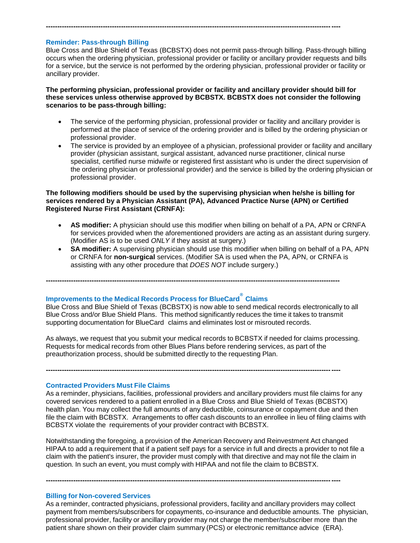### **Reminder: Pass-through Billing**

Blue Cross and Blue Shield of Texas (BCBSTX) does not permit pass-through billing. Pass-through billing occurs when the ordering physician, professional provider or facility or ancillary provider requests and bills for a service, but the service is not performed by the ordering physician, professional provider or facility or ancillary provider.

**---------------------------------------------------------------------------------------------------------------------------------**

**The performing physician, professional provider or facility and ancillary provider should bill for these services unless otherwise approved by BCBSTX. BCBSTX does not consider the following scenarios to be pass-through billing:**

- The service of the performing physician, professional provider or facility and ancillary provider is performed at the place of service of the ordering provider and is billed by the ordering physician or professional provider.
- The service is provided by an employee of a physician, professional provider or facility and ancillary provider (physician assistant, surgical assistant, advanced nurse practitioner, clinical nurse specialist, certified nurse midwife or registered first assistant who is under the direct supervision of the ordering physician or professional provider) and the service is billed by the ordering physician or professional provider.

#### **The following modifiers should be used by the supervising physician when he/she is billing for services rendered by a Physician Assistant (PA), Advanced Practice Nurse (APN) or Certified Registered Nurse First Assistant (CRNFA):**

- **AS modifier:** A physician should use this modifier when billing on behalf of a PA, APN or CRNFA for services provided when the aforementioned providers are acting as an assistant during surgery. (Modifier AS is to be used *ONLY* if they assist at surgery.)
- **SA modifier:** A supervising physician should use this modifier when billing on behalf of a PA, APN or CRNFA for **non-surgical** services. (Modifier SA is used when the PA, APN, or CRNFA is assisting with any other procedure that *DOES NOT* include surgery.)

**---------------------------------------------------------------------------------------------------------------------------------**

## **Improvements to the Medical Records Process for BlueCard® Claims**

Blue Cross and Blue Shield of Texas (BCBSTX) is now able to send medical records electronically to all Blue Cross and/or Blue Shield Plans. This method significantly reduces the time it takes to transmit supporting documentation for BlueCard claims and eliminates lost or misrouted records.

As always, we request that you submit your medical records to BCBSTX if needed for claims processing. Requests for medical records from other Blues Plans before rendering services, as part of the preauthorization process, should be submitted directly to the requesting Plan.

**---------------------------------------------------------------------------------------------------------------------------------**

**Contracted Providers Must File Claims**

As a reminder, physicians, facilities, professional providers and ancillary providers must file claims for any covered services rendered to a patient enrolled in a Blue Cross and Blue Shield of Texas (BCBSTX) health plan. You may collect the full amounts of any deductible, coinsurance or copayment due and then file the claim with BCBSTX. Arrangements to offer cash discounts to an enrollee in lieu of filing claims with BCBSTX violate the requirements of your provider contract with BCBSTX.

Notwithstanding the foregoing, a provision of the American Recovery and Reinvestment Act changed HIPAA to add a requirement that if a patient self pays for a service in full and directs a provider to not file a claim with the patient's insurer, the provider must comply with that directive and may not file the claim in question. In such an event, you must comply with HIPAA and not file the claim to BCBSTX.

**---------------------------------------------------------------------------------------------------------------------------------**

#### **Billing for Non-covered Services**

As a reminder, contracted physicians, professional providers, facility and ancillary providers may collect payment from members/subscribers for copayments, co-insurance and deductible amounts. The physician, professional provider, facility or ancillary provider may not charge the member/subscriber more than the patient share shown on their provider claim summary (PCS) or electronic remittance advice (ERA).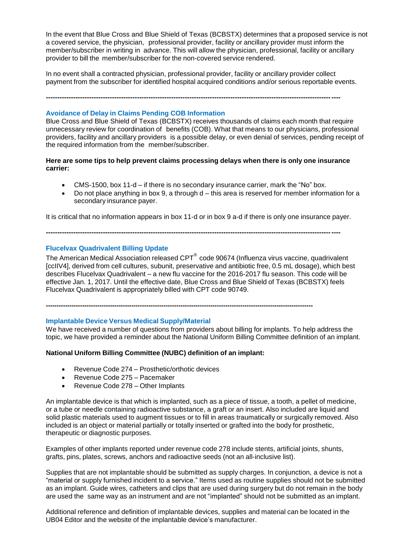In the event that Blue Cross and Blue Shield of Texas (BCBSTX) determines that a proposed service is not a covered service, the physician, professional provider, facility or ancillary provider must inform the member/subscriber in writing in advance. This will allow the physician, professional, facility or ancillary provider to bill the member/subscriber for the non-covered service rendered.

In no event shall a contracted physician, professional provider, facility or ancillary provider collect payment from the subscriber for identified hospital acquired conditions and/or serious reportable events.

**---------------------------------------------------------------------------------------------------------------------------------**

### **Avoidance of Delay in Claims Pending COB Information**

Blue Cross and Blue Shield of Texas (BCBSTX) receives thousands of claims each month that require unnecessary review for coordination of benefits (COB). What that means to our physicians, professional providers, facility and ancillary providers is a possible delay, or even denial of services, pending receipt of the required information from the member/subscriber.

**Here are some tips to help prevent claims processing delays when there is only one insurance carrier:**

- CMS-1500, box 11-d if there is no secondary insurance carrier, mark the "No" box.
- $\bullet$  Do not place anything in box 9, a through  $d$  this area is reserved for member information for a secondary insurance payer.

It is critical that no information appears in box 11-d or in box 9 a-d if there is only one insurance payer.

**---------------------------------------------------------------------------------------------------------------------------------**

### **Flucelvax Quadrivalent Billing Update**

The American Medical Association released  $\text{CPT}^\circledast$  code 90674 (Influenza virus vaccine, quadrivalent [ccIIV4], derived from cell cultures, subunit, preservative and antibiotic free, 0.5 mL dosage), which best describes Flucelvax Quadrivalent – a new flu vaccine for the 2016-2017 flu season. This code will be effective Jan. 1, 2017. Until the effective date, Blue Cross and Blue Shield of Texas (BCBSTX) feels Flucelvax Quadrivalent is appropriately billed with CPT code 90749.

**-----------------------------------------------------------------------------------------------------------------------------**

#### **Implantable Device Versus Medical Supply/Material**

We have received a number of questions from providers about billing for implants. To help address the topic, we have provided a reminder about the National Uniform Billing Committee definition of an implant.

### **National Uniform Billing Committee (NUBC) definition of an implant:**

- Revenue Code 274 Prosthetic/orthotic devices
- Revenue Code 275 Pacemaker
- Revenue Code 278 Other Implants

An implantable device is that which is implanted, such as a piece of tissue, a tooth, a pellet of medicine, or a tube or needle containing radioactive substance, a graft or an insert. Also included are liquid and solid plastic materials used to augment tissues or to fill in areas traumatically or surgically removed. Also included is an object or material partially or totally inserted or grafted into the body for prosthetic, therapeutic or diagnostic purposes.

Examples of other implants reported under revenue code 278 include stents, artificial joints, shunts, grafts, pins, plates, screws, anchors and radioactive seeds (not an all-inclusive list).

Supplies that are not implantable should be submitted as supply charges. In conjunction, a device is not a "material or supply furnished incident to a service." Items used as routine supplies should not be submitted as an implant. Guide wires, catheters and clips that are used during surgery but do not remain in the body are used the same way as an instrument and are not "implanted" should not be submitted as an implant.

Additional reference and definition of implantable devices, supplies and material can be located in the UB04 Editor and the website of the implantable device's manufacturer.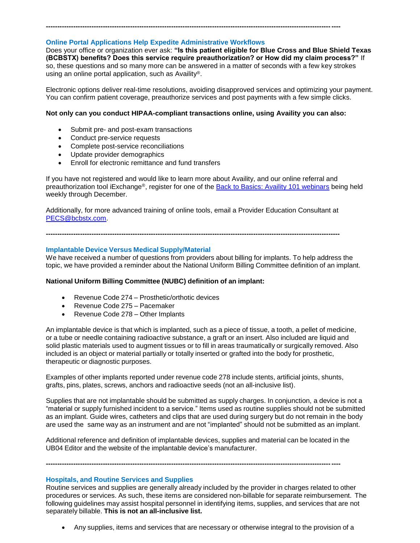## **Online Portal Applications Help Expedite Administrative Workflows**

Does your office or organization ever ask: **"Is this patient eligible for Blue Cross and Blue Shield Texas (BCBSTX) benefits? Does this service require preauthorization? or How did my claim process?"** If so, these questions and so many more can be answered in a matter of seconds with a few key strokes using an online portal application, such as Availity®.

Electronic options deliver real-time resolutions, avoiding disapproved services and optimizing your payment. You can confirm patient coverage, preauthorize services and post payments with a few simple clicks.

#### **Not only can you conduct HIPAA-compliant transactions online, using Availity you can also:**

**---------------------------------------------------------------------------------------------------------------------------------**

- Submit pre- and post-exam transactions
- Conduct pre-service requests
- Complete post-service reconciliations
- Update provider demographics
- Enroll for electronic remittance and fund transfers

If you have not registered and would like to learn more about Availity, and our online referral and preauthorization tool iExchange®, register for one of the [Back to Basics: Availity 101 webinars](https://www.bcbstx.com/provider/training/provider_education.html) being held weekly through December.

Additionally, for more advanced training of online tools, email a Provider Education Consultant at [PECS@bcbstx.com.](mailto:PECS@bcbstx.com)

**---------------------------------------------------------------------------------------------------------------------------------**

#### **Implantable Device Versus Medical Supply/Material**

We have received a number of questions from providers about billing for implants. To help address the topic, we have provided a reminder about the National Uniform Billing Committee definition of an implant.

#### **National Uniform Billing Committee (NUBC) definition of an implant:**

- Revenue Code 274 Prosthetic/orthotic devices
- Revenue Code 275 Pacemaker
- Revenue Code 278 Other Implants

An implantable device is that which is implanted, such as a piece of tissue, a tooth, a pellet of medicine, or a tube or needle containing radioactive substance, a graft or an insert. Also included are liquid and solid plastic materials used to augment tissues or to fill in areas traumatically or surgically removed. Also included is an object or material partially or totally inserted or grafted into the body for prosthetic, therapeutic or diagnostic purposes.

Examples of other implants reported under revenue code 278 include stents, artificial joints, shunts, grafts, pins, plates, screws, anchors and radioactive seeds (not an all-inclusive list).

Supplies that are not implantable should be submitted as supply charges. In conjunction, a device is not a "material or supply furnished incident to a service." Items used as routine supplies should not be submitted as an implant. Guide wires, catheters and clips that are used during surgery but do not remain in the body are used the same way as an instrument and are not "implanted" should not be submitted as an implant.

Additional reference and definition of implantable devices, supplies and material can be located in the UB04 Editor and the website of the implantable device's manufacturer.

### **---------------------------------------------------------------------------------------------------------------------------------**

#### **Hospitals, and Routine Services and Supplies**

Routine services and supplies are generally already included by the provider in charges related to other procedures or services. As such, these items are considered non-billable for separate reimbursement. The following guidelines may assist hospital personnel in identifying items, supplies, and services that are not separately billable. **This is not an all-inclusive list.**

Any supplies, items and services that are necessary or otherwise integral to the provision of a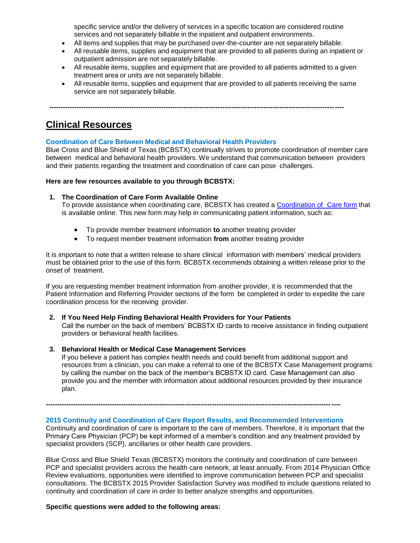specific service and/or the delivery of services in a specific location are considered routine services and not separately billable in the inpatient and outpatient environments.

- All items and supplies that may be purchased over-the-counter are not separately billable.
- All reusable items, supplies and equipment that are provided to all patients during an inpatient or outpatient admission are not separately billable.
- All reusable items, supplies and equipment that are provided to all patients admitted to a given treatment area or units are not separately billable.
- All reusable items, supplies and equipment that are provided to all patients receiving the same service are not separately billable.

**---------------------------------------------------------------------------------------------------------------------------------**

# **Clinical Resources**

#### **Coordination of Care Between Medical and Behavioral Health Providers**

Blue Cross and Blue Shield of Texas (BCBSTX) continually strives to promote coordination of member care between medical and behavioral health providers. We understand that communication between providers and their patients regarding the treatment and coordination of care can pose challenges.

#### **Here are few resources available to you through BCBSTX:**

#### **1. The Coordination of Care Form Available Online**

To provide assistance when coordinating care, BCBSTX has created [a Coordination of](http://www.bcbstx.com/provider/pdf/bh_coordination_care.pdf) Care form that is available online. This new form may help in communicating patient information, such as:

- To provide member treatment information **to** another treating provider
- To request member treatment information **from** another treating provider

It is important to note that a written release to share clinical information with members' medical providers must be obtained prior to the use of this form. BCBSTX recommends obtaining a written release prior to the onset of treatment.

If you are requesting member treatment information from another provider, it is recommended that the Patient Information and Referring Provider sections of the form be completed in order to expedite the care coordination process for the receiving provider.

#### **2. If You Need Help Finding Behavioral Health Providers for Your Patients**

Call the number on the back of members' BCBSTX ID cards to receive assistance in finding outpatient providers or behavioral health facilities.

#### **3. Behavioral Health or Medical Case Management Services**

If you believe a patient has complex health needs and could benefit from additional support and resources from a clinician, you can make a referral to one of the BCBSTX Case Management programs by calling the number on the back of the member's BCBSTX ID card. Case Management can also provide you and the member with information about additional resources provided by their insurance plan.

**---------------------------------------------------------------------------------------------------------------------------------**

**2015 Continuity and Coordination of Care Report Results, and Recommended Interventions**

Continuity and coordination of care is important to the care of members. Therefore, it is important that the Primary Care Physician (PCP) be kept informed of a member's condition and any treatment provided by specialist providers (SCP), ancillaries or other health care providers.

Blue Cross and Blue Shield Texas (BCBSTX) monitors the continuity and coordination of care between PCP and specialist providers across the health care network, at least annually. From 2014 Physician Office Review evaluations, opportunities were identified to improve communication between PCP and specialist consultations. The BCBSTX 2015 Provider Satisfaction Survey was modified to include questions related to continuity and coordination of care in order to better analyze strengths and opportunities.

**Specific questions were added to the following areas:**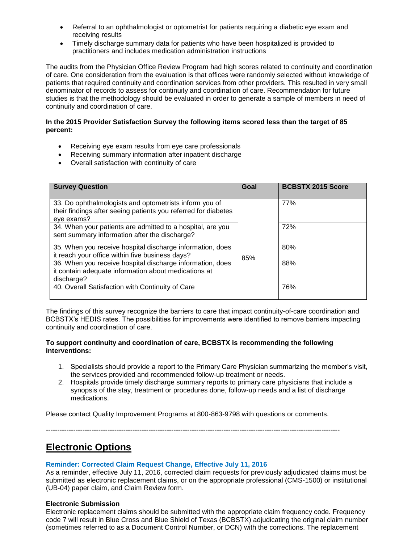- Referral to an ophthalmologist or optometrist for patients requiring a diabetic eye exam and receiving results
- Timely discharge summary data for patients who have been hospitalized is provided to practitioners and includes medication administration instructions

The audits from the Physician Office Review Program had high scores related to continuity and coordination of care. One consideration from the evaluation is that offices were randomly selected without knowledge of patients that required continuity and coordination services from other providers. This resulted in very small denominator of records to assess for continuity and coordination of care. Recommendation for future studies is that the methodology should be evaluated in order to generate a sample of members in need of continuity and coordination of care.

#### **In the 2015 Provider Satisfaction Survey the following items scored less than the target of 85 percent:**

- Receiving eye exam results from eye care professionals
- Receiving summary information after inpatient discharge
- Overall satisfaction with continuity of care

| <b>Survey Question</b>                                                                                                                 | Goal | <b>BCBSTX 2015 Score</b> |
|----------------------------------------------------------------------------------------------------------------------------------------|------|--------------------------|
| 33. Do ophthalmologists and optometrists inform you of<br>their findings after seeing patients you referred for diabetes<br>eye exams? |      | 77%                      |
| 34. When your patients are admitted to a hospital, are you<br>sent summary information after the discharge?                            |      | 72%                      |
| 35. When you receive hospital discharge information, does<br>it reach your office within five business days?                           | 85%  | 80%                      |
| 36. When you receive hospital discharge information, does<br>it contain adequate information about medications at<br>discharge?        |      | 88%                      |
| 40. Overall Satisfaction with Continuity of Care                                                                                       |      | 76%                      |

The findings of this survey recognize the barriers to care that impact continuity-of-care coordination and BCBSTX's HEDIS rates. The possibilities for improvements were identified to remove barriers impacting continuity and coordination of care.

#### **To support continuity and coordination of care, BCBSTX is recommending the following interventions:**

- 1. Specialists should provide a report to the Primary Care Physician summarizing the member's visit, the services provided and recommended follow-up treatment or needs.
- 2. Hospitals provide timely discharge summary reports to primary care physicians that include a synopsis of the stay, treatment or procedures done, follow-up needs and a list of discharge medications.

Please contact Quality Improvement Programs at 800-863-9798 with questions or comments.

**---------------------------------------------------------------------------------------------------------------------------------**

# **Electronic Options**

### **Reminder: Corrected Claim Request Change, Effective July 11, 2016**

As a reminder, effective July 11, 2016, corrected claim requests for previously adjudicated claims must be submitted as electronic replacement claims, or on the appropriate professional (CMS-1500) or institutional (UB-04) paper claim, and Claim Review form.

#### **Electronic Submission**

Electronic replacement claims should be submitted with the appropriate claim frequency code. Frequency code 7 will result in Blue Cross and Blue Shield of Texas (BCBSTX) adjudicating the original claim number (sometimes referred to as a Document Control Number, or DCN) with the corrections. The replacement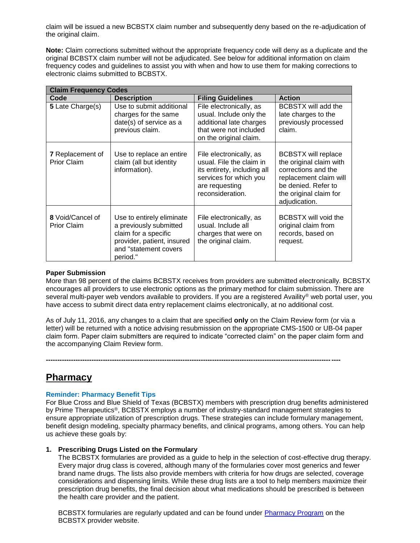claim will be issued a new BCBSTX claim number and subsequently deny based on the re-adjudication of the original claim.

**Note:** Claim corrections submitted without the appropriate frequency code will deny as a duplicate and the original BCBSTX claim number will not be adjudicated. See below for additional information on claim frequency codes and guidelines to assist you with when and how to use them for making corrections to electronic claims submitted to BCBSTX.

| <b>Claim Frequency Codes</b>                  |                                                                                                                                                |                                                                                                                                                    |                                                                                                                                                                          |
|-----------------------------------------------|------------------------------------------------------------------------------------------------------------------------------------------------|----------------------------------------------------------------------------------------------------------------------------------------------------|--------------------------------------------------------------------------------------------------------------------------------------------------------------------------|
| Code                                          | <b>Description</b>                                                                                                                             | <b>Filing Guidelines</b>                                                                                                                           | <b>Action</b>                                                                                                                                                            |
| 5 Late Charge(s)                              | Use to submit additional<br>charges for the same<br>date(s) of service as a<br>previous claim.                                                 | File electronically, as<br>usual. Include only the<br>additional late charges<br>that were not included<br>on the original claim.                  | BCBSTX will add the<br>late charges to the<br>previously processed<br>claim.                                                                                             |
| <b>7</b> Replacement of<br><b>Prior Claim</b> | Use to replace an entire<br>claim (all but identity<br>information).                                                                           | File electronically, as<br>usual. File the claim in<br>its entirety, including all<br>services for which you<br>are requesting<br>reconsideration. | <b>BCBSTX will replace</b><br>the original claim with<br>corrections and the<br>replacement claim will<br>be denied. Refer to<br>the original claim for<br>adjudication. |
| 8 Void/Cancel of<br><b>Prior Claim</b>        | Use to entirely eliminate<br>a previously submitted<br>claim for a specific<br>provider, patient, insured<br>and "statement covers<br>period." | File electronically, as<br>usual. Include all<br>charges that were on<br>the original claim.                                                       | BCBSTX will void the<br>original claim from<br>records, based on<br>request.                                                                                             |

#### **Paper Submission**

More than 98 percent of the claims BCBSTX receives from providers are submitted electronically. BCBSTX encourages all providers to use electronic options as the primary method for claim submission. There are several multi-payer web vendors available to providers. If you are a registered Availity® web portal user, you have access to submit direct data entry replacement claims electronically, at no additional cost.

As of July 11, 2016, any changes to a claim that are specified **only** on the Claim Review form (or via a letter) will be returned with a notice advising resubmission on the appropriate CMS-1500 or UB-04 paper claim form. Paper claim submitters are required to indicate "corrected claim" on the paper claim form and the accompanying Claim Review form.

**---------------------------------------------------------------------------------------------------------------------------------**

## **Pharmacy**

### **Reminder: Pharmacy Benefit Tips**

For Blue Cross and Blue Shield of Texas (BCBSTX) members with prescription drug benefits administered by Prime Therapeutics®, BCBSTX employs a number of industry-standard management strategies to ensure appropriate utilization of prescription drugs. These strategies can include formulary management, benefit design modeling, specialty pharmacy benefits, and clinical programs, among others. You can help us achieve these goals by:

#### **1. Prescribing Drugs Listed on the Formulary**

The BCBSTX formularies are provided as a guide to help in the selection of cost-effective drug therapy. Every major drug class is covered, although many of the formularies cover most generics and fewer brand name drugs. The lists also provide members with criteria for how drugs are selected, coverage considerations and dispensing limits. While these drug lists are a tool to help members maximize their prescription drug benefits, the final decision about what medications should be prescribed is between the health care provider and the patient.

BCBSTX formularies are regularly updated and can be found under [Pharmacy Program](http://www.bcbstx.com/provider/pharmacy/index.html) on the BCBSTX provider website.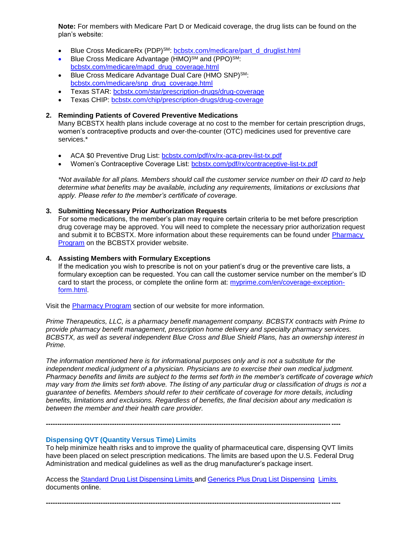**Note:** For members with Medicare Part D or Medicaid coverage, the drug lists can be found on the plan's website:

- Blue Cross MedicareRx (PDP)<sup>SM</sup>: [bcbstx.com/medicare/part\\_d\\_druglist.html](http://www.bcbstx.com/medicare/part_d_druglist.html)
- Blue Cross Medicare Advantage (HMO)<sup>SM</sup> and (PPO)<sup>SM</sup>: [bcbstx.com/medicare/mapd\\_drug\\_coverage.html](http://www.bcbstx.com/medicare/mapd_drug_coverage.html)
- Blue Cross Medicare Advantage Dual Care (HMO SNP)<sup>SM</sup>: [bcbstx.com/medicare/snp\\_drug\\_coverage.html](http://www.bcbstx.com/medicare/snp_drug_coverage.html)
- Texas STAR: [bcbstx.com/star/prescription-drugs/drug-coverage](http://www.bcbstx.com/star/prescription-drugs/drug-coverage)
- Texas CHIP: [bcbstx.com/chip/prescription-drugs/drug-coverage](http://www.bcbstx.com/chip/prescription-drugs/drug-coverage)

#### **2. Reminding Patients of Covered Preventive Medications**

Many BCBSTX health plans include coverage at no cost to the member for certain prescription drugs, women's contraceptive products and over-the-counter (OTC) medicines used for preventive care services.\*

- ACA \$0 Preventive Drug List: [bcbstx.com/pdf/rx/rx-aca-prev-list-tx.pdf](http://www.bcbstx.com/pdf/rx/rx-aca-prev-list-tx.pdf)
- Women's Contraceptive Coverage List: [bcbstx.com/pdf/rx/contraceptive-list-tx.pdf](http://www.bcbstx.com/pdf/rx/contraceptive-list-tx.pdf)

*\*Not available for all plans. Members should call the customer service number on their ID card to help determine what benefits may be available, including any requirements, limitations or exclusions that apply. Please refer to the member's certificate of coverage.*

#### **3. Submitting Necessary Prior Authorization Requests**

For some medications, the member's plan may require certain criteria to be met before prescription drug coverage may be approved. You will need to complete the necessary prior authorization request and submit it to BCBSTX. More information about these requirements can be found under [Pharmacy](http://www.bcbstx.com/provider/pharmacy/index.html) [Program](http://www.bcbstx.com/provider/pharmacy/index.html) on the BCBSTX provider website.

#### **4. Assisting Members with Formulary Exceptions**

If the medication you wish to prescribe is not on your patient's drug or the preventive care lists, a formulary exception can be requested. You can call the customer service number on the member's ID card to start the process, or complete the online form at: [myprime.com/en/coverage-exception](http://www.myprime.com/en/coverage-exception-form.html)[form.html.](http://www.myprime.com/en/coverage-exception-form.html)

Visit the [Pharmacy Program](http://www.bcbstx.com/provider/pharmacy/index.html) section of our website for more information.

*Prime Therapeutics, LLC, is a pharmacy benefit management company. BCBSTX contracts with Prime to provide pharmacy benefit management, prescription home delivery and specialty pharmacy services. BCBSTX, as well as several independent Blue Cross and Blue Shield Plans, has an ownership interest in Prime.* 

*The information mentioned here is for informational purposes only and is not a substitute for the independent medical judgment of a physician. Physicians are to exercise their own medical judgment. Pharmacy benefits and limits are subject to the terms set forth in the member's certificate of coverage which may vary from the limits set forth above. The listing of any particular drug or classification of drugs is not a guarantee of benefits. Members should refer to their certificate of coverage for more details, including benefits, limitations and exclusions. Regardless of benefits, the final decision about any medication is between the member and their health care provider.*

#### **Dispensing QVT (Quantity Versus Time) Limits**

To help minimize health risks and to improve the quality of pharmaceutical care, dispensing QVT limits have been placed on select prescription medications. The limits are based upon the U.S. Federal Drug Administration and medical guidelines as well as the drug manufacturer's package insert.

Access the Standard Drug List [Dispensing](https://www.bcbstx.com/pdf/rx/rx_dispensing_limits_std_tx.pdf) Limits and Generics Plus Drug List [Dispensing](https://www.bcbstx.com/pdf/rx/rx_dispensing_limits_gen_tx.pdf) Limits documents online.

**---------------------------------------------------------------------------------------------------------------------------------**

**---------------------------------------------------------------------------------------------------------------------------------**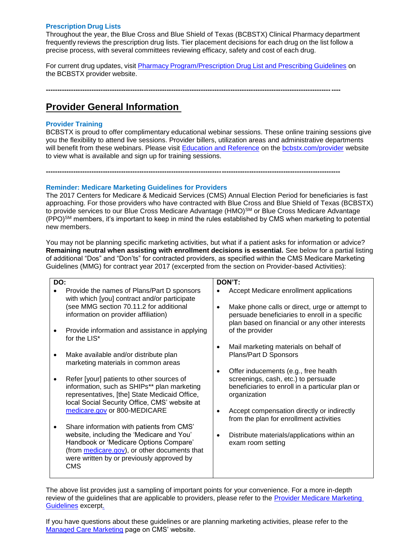#### **Prescription Drug Lists**

Throughout the year, the Blue Cross and Blue Shield of Texas (BCBSTX) Clinical Pharmacy department frequently reviews the prescription drug lists. Tier placement decisions for each drug on the list follow a precise process, with several committees reviewing efficacy, safety and cost of each drug.

For current drug updates, visit Pharmacy [Program/Prescription](http://www.bcbstx.com/provider/pharmacy/rx_list.html) Drug List and Prescribing Guidelines on the BCBSTX provider website.

**---------------------------------------------------------------------------------------------------------------------------------**

**---------------------------------------------------------------------------------------------------------------------------------**

# **Provider General Information**

### **Provider Training**

BCBSTX is proud to offer complimentary educational webinar sessions. These online training sessions give you the flexibility to attend live sessions. Provider billers, utilization areas and administrative departments will benefit from these webinars. Please visit [Education and Reference](http://www.bcbstx.com/provider/training/index.html) on the [bcbstx.com/provider](http://www.bcbstx.com/provider/index.html) website to view what is available and sign up for training sessions.

#### **Reminder: Medicare Marketing Guidelines for Providers**

The 2017 Centers for Medicare & Medicaid Services (CMS) Annual Election Period for beneficiaries is fast approaching. For those providers who have contracted with Blue Cross and Blue Shield of Texas (BCBSTX) to provide services to our Blue Cross Medicare Advantage (HMO)<sup>SM</sup> or Blue Cross Medicare Advantage (PPO)SM members, it's important to keep in mind the rules established by CMS when marketing to potential new members.

You may not be planning specific marketing activities, but what if a patient asks for information or advice? **Remaining neutral when assisting with enrollment decisions is essential.** See below for a partial listing of additional "Dos" and "Don'ts" for contracted providers, as specified within the CMS Medicare Marketing Guidelines (MMG) for contract year 2017 (excerpted from the section on Provider-based Activities):

| DO: |                                                                                                                                                                                                                                             | DON'T:                                                                                                                                         |
|-----|---------------------------------------------------------------------------------------------------------------------------------------------------------------------------------------------------------------------------------------------|------------------------------------------------------------------------------------------------------------------------------------------------|
|     | Provide the names of Plans/Part D sponsors<br>with which [you] contract and/or participate<br>(see MMG section 70.11.2 for additional<br>information on provider affiliation)                                                               | Accept Medicare enrollment applications<br>Make phone calls or direct, urge or attempt to<br>persuade beneficiaries to enroll in a specific    |
|     | Provide information and assistance in applying<br>for the LIS*                                                                                                                                                                              | plan based on financial or any other interests<br>of the provider                                                                              |
| ٠   | Make available and/or distribute plan<br>marketing materials in common areas                                                                                                                                                                | Mail marketing materials on behalf of<br>Plans/Part D Sponsors                                                                                 |
|     | Refer [your] patients to other sources of<br>information, such as SHIPs** plan marketing<br>representatives, [the] State Medicaid Office,<br>local Social Security Office, CMS' website at                                                  | Offer inducements (e.g., free health<br>screenings, cash, etc.) to persuade<br>beneficiaries to enroll in a particular plan or<br>organization |
|     | medicare.gov or 800-MEDICARE                                                                                                                                                                                                                | Accept compensation directly or indirectly<br>from the plan for enrollment activities                                                          |
| ٠   | Share information with patients from CMS'<br>website, including the 'Medicare and You'<br>Handbook or 'Medicare Options Compare'<br>(from medicare.gov), or other documents that<br>were written by or previously approved by<br><b>CMS</b> | Distribute materials/applications within an<br>$\bullet$<br>exam room setting                                                                  |

The above list provides just a sampling of important points for your convenience. For a more in-depth review of the guidelines that are applicable to providers, please refer to the Provider Medicare Marketing [Guidelines](http://www.bcbstx.com/provider/pdf/medicare_marketing_guidelines.pdf) excerpt.

If you have questions about these guidelines or are planning marketing activities, please refer to the [Managed Care Marketing](https://www.cms.gov/Medicare/Health-Plans/ManagedCareMarketing/index.html) page on CMS' website.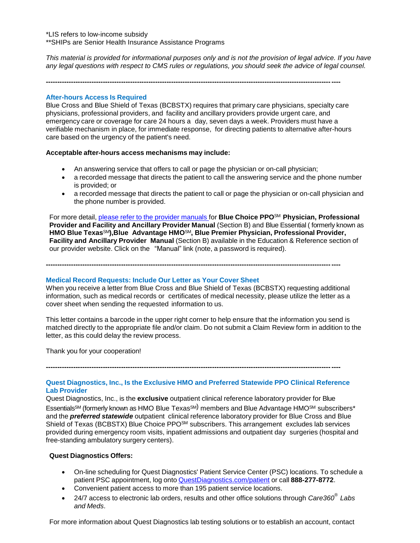\*LIS refers to low-income subsidy \*\*SHIPs are Senior Health Insurance Assistance Programs

*This material is provided for informational purposes only and is not the provision of legal advice. If you have any legal questions with respect to CMS rules or regulations, you should seek the advice of legal counsel.* 

**---------------------------------------------------------------------------------------------------------------------------------**

#### **After-hours Access Is Required**

Blue Cross and Blue Shield of Texas (BCBSTX) requires that primary care physicians, specialty care physicians, professional providers, and facility and ancillary providers provide urgent care, and emergency care or coverage for care 24 hours a day, seven days a week. Providers must have a verifiable mechanism in place, for immediate response, for directing patients to alternative after-hours care based on the urgency of the patient's need.

#### **Acceptable after-hours access mechanisms may include:**

- An answering service that offers to call or page the physician or on-call physician;
- a recorded message that directs the patient to call the answering service and the phone number is provided; or
- a recorded message that directs the patient to call or page the physician or on-call physician and the phone number is provided.

For more detail, please refer to the provider [manuals](https://www.bcbstx.com/provider/gri/index.html) for **Blue Choice PPO**SM **Physician, Professional Provider and Facility and Ancillary Provider Manual** (Section B) and Blue Essential ( formerly known as **HMO Blue Texas**SM**),Blue Advantage HMO**SM**, Blue Premier Physician, Professional Provider, Facility and Ancillary Provider Manual** (Section B) available in the Education & Reference section of our provider website. Click on the "Manual" link (note, a password is required).

**---------------------------------------------------------------------------------------------------------------------------------**

#### **Medical Record Requests: Include Our Letter as Your Cover Sheet**

When you receive a letter from Blue Cross and Blue Shield of Texas (BCBSTX) requesting additional information, such as medical records or certificates of medical necessity, please utilize the letter as a cover sheet when sending the requested information to us.

This letter contains a barcode in the upper right corner to help ensure that the information you send is matched directly to the appropriate file and/or claim. Do not submit a Claim Review form in addition to the letter, as this could delay the review process.

Thank you for your cooperation!

**---------------------------------------------------------------------------------------------------------------------------------**

#### **Quest Diagnostics, Inc., Is the Exclusive HMO and Preferred Statewide PPO Clinical Reference Lab Provider**

Quest Diagnostics, Inc., is the **exclusive** outpatient clinical reference laboratory provider for Blue Essentials<sup>SM</sup> (formerly known as HMO Blue Texas<sup>SM)</sup> members and Blue Advantage HMO<sup>SM</sup> subscribers<sup>\*</sup> and the *preferred statewide* outpatient clinical reference laboratory provider for Blue Cross and Blue Shield of Texas (BCBSTX) Blue Choice PPO<sup>SM</sup> subscribers. This arrangement excludes lab services provided during emergency room visits, inpatient admissions and outpatient day surgeries (hospital and free-standing ambulatory surgery centers).

#### **Quest Diagnostics Offers:**

- On-line scheduling for Quest Diagnostics' Patient Service Center (PSC) locations. To schedule a patient PSC appointment, log onto [QuestDiagnostics.com/patient](http://www.questdiagnostics.com/home/patients) or call **888-277-8772**.
- Convenient patient access to more than 195 patient service locations.
- 24/7 access to electronic lab orders, results and other office solutions through *Care360® Labs and Meds*.

For more information about Quest Diagnostics lab testing solutions or to establish an account, contact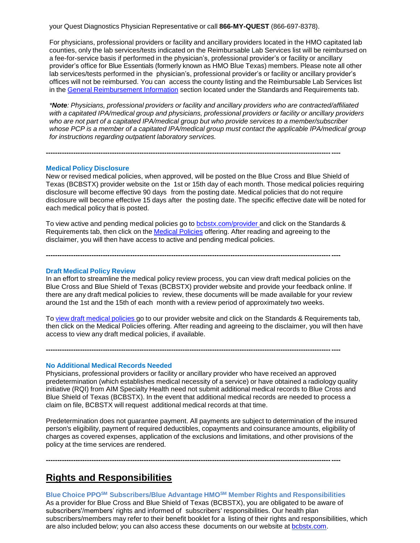your Quest Diagnostics Physician Representative or call **866-MY-QUEST** (866-697-8378).

For physicians, professional providers or facility and ancillary providers located in the HMO capitated lab counties, only the lab services/tests indicated on the Reimbursable Lab Services list will be reimbursed on a fee-for-service basis if performed in the physician's, professional provider's or facility or ancillary provider's office for Blue Essentials (formerly known as HMO Blue Texas) members. Please note all other lab services/tests performed in the physician's, professional provider's or facility or ancillary provider's offices will not be reimbursed. You can access the county listing and the Reimbursable Lab Services list in the General [Reimbursement Information](https://www.bcbstx.com/provider/gri/index.html) section located under the Standards and Requirements tab.

*\*Note: Physicians, professional providers or facility and ancillary providers who are contracted/affiliated with a capitated IPA/medical group and physicians, professional providers or facility or ancillary providers who are not part of a capitated IPA/medical group but who provide services to a member/subscriber whose PCP is a member of a capitated IPA/medical group must contact the applicable IPA/medical group for instructions regarding outpatient laboratory services.*

#### **Medical Policy Disclosure**

New or revised medical policies, when approved, will be posted on the Blue Cross and Blue Shield of Texas (BCBSTX) provider website on the 1st or 15th day of each month. Those medical policies requiring disclosure will become effective 90 days from the posting date. Medical policies that do not require disclosure will become effective 15 days after the posting date. The specific effective date will be noted for each medical policy that is posted.

To view active and pending medical policies go to [bcbstx.com/provider](https://www.bcbstx.com/provider/) and click on the Standards & Requirements tab, then click on the Medical [Policies](http://www.medicalpolicy.hcsc.net/medicalpolicy/disclaimer?corpEntCd=TX1) offering. After reading and agreeing to the disclaimer, you will then have access to active and pending medical policies.

**---------------------------------------------------------------------------------------------------------------------------------**

**---------------------------------------------------------------------------------------------------------------------------------**

#### **Draft Medical Policy Review**

In an effort to streamline the medical policy review process, you can view draft medical policies on the Blue Cross and Blue Shield of Texas (BCBSTX) provider website and provide your feedback online. If there are any draft medical policies to review, these documents will be made available for your review around the 1st and the 15th of each month with a review period of approximately two weeks.

To view draft [medical](http://www.medicalpolicy.hcsc.net/medicalpolicy/disclaimer?corpEntCd=TX1) policies go to our provider website and click on the Standards & Requirements tab, then click on the Medical Policies offering. After reading and agreeing to the disclaimer, you will then have access to view any draft medical policies, if available.

**---------------------------------------------------------------------------------------------------------------------------------**

#### **No Additional Medical Records Needed**

Physicians, professional providers or facility or ancillary provider who have received an approved predetermination (which establishes medical necessity of a service) or have obtained a radiology quality initiative (RQI) from AIM Specialty Health need not submit additional medical records to Blue Cross and Blue Shield of Texas (BCBSTX). In the event that additional medical records are needed to process a claim on file, BCBSTX will request additional medical records at that time.

Predetermination does not guarantee payment. All payments are subject to determination of the insured person's eligibility, payment of required deductibles, copayments and coinsurance amounts, eligibility of charges as covered expenses, application of the exclusions and limitations, and other provisions of the policy at the time services are rendered.

**---------------------------------------------------------------------------------------------------------------------------------**

# **Rights and Responsibilities**

**Blue Choice PPOSM Subscribers/Blue Advantage HMOSM Member Rights and Responsibilities** As a provider for Blue Cross and Blue Shield of Texas (BCBSTX), you are obligated to be aware of subscribers'/members' rights and informed of subscribers' responsibilities. Our health plan subscribers/members may refer to their benefit booklet for a listing of their rights and responsibilities, which are also included below; you can also access these documents on our website at [bcbstx.com.](https://www.bcbstx.com/)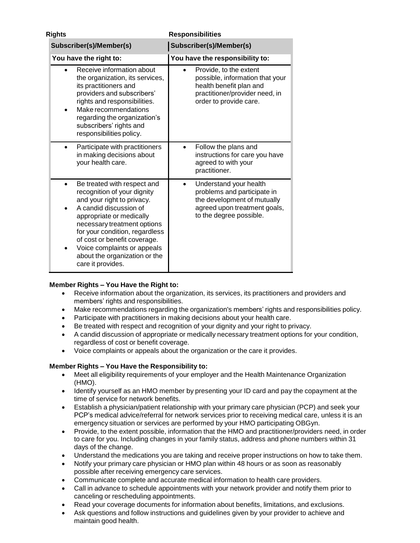| <b>Rights</b>                                                                                                                                                                                                                                                                                                                        | <b>Responsibilities</b>                                                                                                                          |  |
|--------------------------------------------------------------------------------------------------------------------------------------------------------------------------------------------------------------------------------------------------------------------------------------------------------------------------------------|--------------------------------------------------------------------------------------------------------------------------------------------------|--|
| Subscriber(s)/Member(s)                                                                                                                                                                                                                                                                                                              | Subscriber(s)/Member(s)                                                                                                                          |  |
| You have the right to:                                                                                                                                                                                                                                                                                                               | You have the responsibility to:                                                                                                                  |  |
| Receive information about<br>the organization, its services,<br>its practitioners and<br>providers and subscribers'<br>rights and responsibilities.<br>Make recommendations<br>regarding the organization's<br>subscribers' rights and<br>responsibilities policy.                                                                   | Provide, to the extent<br>possible, information that your<br>health benefit plan and<br>practitioner/provider need, in<br>order to provide care. |  |
| Participate with practitioners<br>in making decisions about<br>your health care.                                                                                                                                                                                                                                                     | Follow the plans and<br>$\bullet$<br>instructions for care you have<br>agreed to with your<br>practitioner.                                      |  |
| Be treated with respect and<br>recognition of your dignity<br>and your right to privacy.<br>A candid discussion of<br>appropriate or medically<br>necessary treatment options<br>for your condition, regardless<br>of cost or benefit coverage.<br>Voice complaints or appeals<br>about the organization or the<br>care it provides. | Understand your health<br>problems and participate in<br>the development of mutually<br>agreed upon treatment goals,<br>to the degree possible.  |  |

### **Member Rights – You Have the Right to:**

- Receive information about the organization, its services, its practitioners and providers and members' rights and responsibilities.
- Make recommendations regarding the organization's members' rights and responsibilities policy.
- Participate with practitioners in making decisions about your health care.
- Be treated with respect and recognition of your dignity and your right to privacy.
- A candid discussion of appropriate or medically necessary treatment options for your condition, regardless of cost or benefit coverage.
- Voice complaints or appeals about the organization or the care it provides.

## **Member Rights – You Have the Responsibility to:**

- Meet all eligibility requirements of your employer and the Health Maintenance Organization (HMO).
- Identify yourself as an HMO member by presenting your ID card and pay the copayment at the time of service for network benefits.
- Establish a physician/patient relationship with your primary care physician (PCP) and seek your PCP's medical advice/referral for network services prior to receiving medical care, unless it is an emergency situation or services are performed by your HMO participating OBGyn.
- Provide, to the extent possible, information that the HMO and practitioner/providers need, in order to care for you. Including changes in your family status, address and phone numbers within 31 days of the change.
- Understand the medications you are taking and receive proper instructions on how to take them.
- Notify your primary care physician or HMO plan within 48 hours or as soon as reasonably possible after receiving emergency care services.
- Communicate complete and accurate medical information to health care providers.
- Call in advance to schedule appointments with your network provider and notify them prior to canceling or rescheduling appointments.
- Read your coverage documents for information about benefits, limitations, and exclusions.
- Ask questions and follow instructions and guidelines given by your provider to achieve and maintain good health.